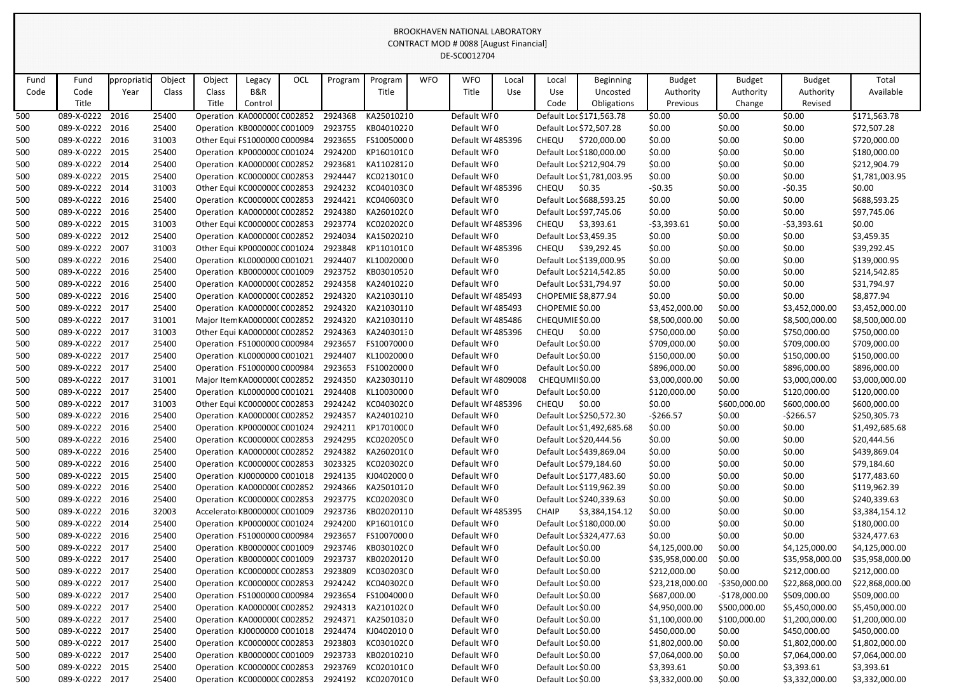|            |                          |              |                |        |                                                             |     |                    |                          |            | CONTRACT MOD # 0088 [August Financial] |       |                    |                                          |                  |                  |                  |                              |
|------------|--------------------------|--------------|----------------|--------|-------------------------------------------------------------|-----|--------------------|--------------------------|------------|----------------------------------------|-------|--------------------|------------------------------------------|------------------|------------------|------------------|------------------------------|
|            |                          |              |                |        |                                                             |     |                    |                          |            | DE-SC0012704                           |       |                    |                                          |                  |                  |                  |                              |
|            |                          |              |                |        |                                                             |     |                    |                          |            |                                        |       |                    |                                          |                  |                  |                  |                              |
| Fund       | Fund                     | ppropriati   | Object         | Object | Legacy                                                      | OCL | Program            | Program                  | <b>WFO</b> | <b>WFO</b>                             | Local | Local              | Beginning                                | <b>Budget</b>    | <b>Budget</b>    | <b>Budget</b>    | Total                        |
| Code       | Code                     | Year         | Class          | Class  | B&R                                                         |     |                    | Title                    |            | Title                                  | Use   | Use                | Uncosted                                 | Authority        | Authority        | Authority        | Available                    |
|            | Title                    |              |                | Title  | Control                                                     |     |                    |                          |            |                                        |       | Code               | Obligations                              | Previous         | Change           | Revised          |                              |
| 500        | 089-X-0222               | 2016         | 25400          |        | Operation KA0000000 C002852                                 |     | 2924368            | KA25010210               |            | Default WI0                            |       |                    | Default Loc \$171,563.78                 | \$0.00           | \$0.00           | \$0.00           | \$171,563.78                 |
| 500        | 089-X-0222<br>089-X-0222 | 2016<br>2016 | 25400<br>31003 |        | Operation: KB000000C C001009                                |     | 2923755<br>2923655 | KB04010220<br>FS10050000 |            | Default WF0<br>Default WF485396        |       |                    | Default Loc \$72,507.28                  | \$0.00           | \$0.00           | \$0.00           | \$72,507.28                  |
| 500<br>500 | 089-X-0222               | 2015         | 25400          |        | Other Equi FS1000000 C000984<br>Operation KP000000C C001024 |     | 2924200            | KP160101C0               |            | Default WF0                            |       | CHEQU              | \$720,000.00<br>Default Loc \$180,000.00 | \$0.00<br>\$0.00 | \$0.00<br>\$0.00 | \$0.00<br>\$0.00 | \$720,000.00<br>\$180,000.00 |
| 500        | 089-X-0222               | 2014         | 25400          |        | Operation KA000000C C002852                                 |     | 2923681            | KA11028120               |            | Default WF0                            |       |                    | Default Loc \$212,904.79                 | \$0.00           | \$0.00           | \$0.00           | \$212,904.79                 |
| 500        | 089-X-0222               | 2015         | 25400          |        | Operation KC000000C C002853                                 |     | 2924447            | KC021301C0               |            | Default WFO                            |       |                    | Default Loc \$1,781,003.95               | \$0.00           | \$0.00           | \$0.00           | \$1,781,003.95               |
| 500        | 089-X-0222               | 2014         | 31003          |        | Other Equi KC000000C C002853                                |     | 2924232            | KC04010300               |            | Default WF485396                       |       | CHEQU              | \$0.35                                   | $-50.35$         | \$0.00           | $-50.35$         | \$0.00                       |
| 500        | 089-X-0222               | 2016         | 25400          |        | Operation KC000000C C002853                                 |     | 2924421            | KC04060300               |            | Default WF0                            |       |                    | Default Loc \$688,593.25                 | \$0.00           | \$0.00           | \$0.00           | \$688,593.25                 |
| 500        | 089-X-0222               | 2016         | 25400          |        | Operation KA0000000 C002852                                 |     | 2924380            | KA260102(0               |            | Default WF0                            |       |                    | Default Loc \$97,745.06                  | \$0.00           | \$0.00           | \$0.00           | \$97,745.06                  |
| 500        | 089-X-0222               | 2015         | 31003          |        | Other Equi KC000000C C002853                                |     | 2923774            | KC02020200               |            | Default WF485396                       |       | CHEQU              | \$3,393.61                               | $-53,393.61$     | \$0.00           | $-53,393.61$     | \$0.00                       |
| 500        | 089-X-0222               | 2012         | 25400          |        | Operation KA000000C C002852                                 |     | 2924034            | KA15020210               |            | Default WF0                            |       |                    | Default Loc \$3,459.35                   | \$0.00           | \$0.00           | \$0.00           | \$3,459.35                   |
| 500        | 089-X-0222               | 2007         | 31003          |        | Other Equi KP000000C C001024                                |     | 2923848            | KP110101C0               |            | Default WF485396                       |       | CHEQU              | \$39,292.45                              | \$0.00           | \$0.00           | \$0.00           | \$39,292.45                  |
| 500        | 089-X-0222               | 2016         | 25400          |        | Operation KL0000000 C001021                                 |     | 2924407            | KL10020000               |            | Default WF0                            |       |                    | Default Loc \$139,000.95                 | \$0.00           | \$0.00           | \$0.00           | \$139,000.95                 |
| 500        | 089-X-0222               | 2016         | 25400          |        | Operation: KB000000C C001009                                |     | 2923752            | KB03010520               |            | Default WF0                            |       |                    | Default Loc \$214,542.85                 | \$0.00           | \$0.00           | \$0.00           | \$214,542.85                 |
| 500        | 089-X-0222               | 2016         | 25400          |        | Operation KA000000C C002852                                 |     | 2924358            | KA24010220               |            | Default WF0                            |       |                    | Default Loc \$31,794.97                  | \$0.00           | \$0.00           | \$0.00           | \$31,794.97                  |
| 500        | 089-X-0222               | 2016         | 25400          |        | Operation KA000000C C002852                                 |     | 2924320            | KA21030110               |            | Default WF485493                       |       |                    | CHOPEMIE \$8,877.94                      | \$0.00           | \$0.00           | \$0.00           | \$8,877.94                   |
| 500        | 089-X-0222               | 2017         | 25400          |        | Operation KA000000C C002852                                 |     | 2924320            | KA21030110               |            | Default WF485493                       |       | CHOPEMIE \$0.00    |                                          | \$3,452,000.00   | \$0.00           | \$3,452,000.00   | \$3,452,000.00               |
| 500        | 089-X-0222               | 2017         | 31001          |        | Major Item KA000000C C002852                                |     | 2924320            | KA21030110               |            | Default WF485486                       |       | CHEQUMIE \$0.00    |                                          | \$8,500,000.00   | \$0.00           | \$8,500,000.00   | \$8,500,000.00               |
| 500        | 089-X-0222               | 2017         | 31003          |        | Other Equi KA0000000 C002852                                |     | 2924363            | KA24030130               |            | Default WF485396                       |       | CHEQU              | \$0.00                                   | \$750,000.00     | \$0.00           | \$750,000.00     | \$750,000.00                 |
| 500        | 089-X-0222               | 2017         | 25400          |        | Operation : FS1000000 C000984                               |     | 2923657            | FS10070000               |            | Default WF0                            |       | Default Loc \$0.00 |                                          | \$709,000.00     | \$0.00           | \$709,000.00     | \$709,000.00                 |
| 500        | 089-X-0222               | 2017         | 25400          |        | Operation KL0000000 C001021                                 |     | 2924407            | KL10020000               |            | Default WF0                            |       | Default Loc \$0.00 |                                          | \$150,000.00     | \$0.00           | \$150,000.00     | \$150,000.00                 |
| 500        | 089-X-0222               | 2017         | 25400          |        | Operation FS1000000 C000984                                 |     | 2923653            | FS10020000               |            | Default WF0                            |       | Default Loc \$0.00 |                                          | \$896,000.00     | \$0.00           | \$896,000.00     | \$896,000.00                 |
| 500        | 089-X-0222               | 2017         | 31001          |        | Major Item KA000000C C002852                                |     | 2924350            | KA23030110               |            | Default WF4809008                      |       | CHEQUMII\$0.00     |                                          | \$3,000,000.00   | \$0.00           | \$3,000,000.00   | \$3,000,000.00               |
| 500        | 089-X-0222               | 2017         | 25400          |        | Operation KL0000000 C001021                                 |     | 2924408            | KL10030000               |            | Default WF0                            |       | Default Loc \$0.00 |                                          | \$120,000.00     | \$0.00           | \$120,000.00     | \$120,000.00                 |
| 500        | 089-X-0222 2017          |              | 31003          |        | Other Equi KC000000C C002853                                |     | 2924242            | KC040302C0               |            | Default WF485396                       |       | CHEQU              | \$0.00                                   | \$0.00           | \$600,000.00     | \$600,000.00     | \$600,000.00                 |
| 500        | 089-X-0222 2016          |              | 25400          |        | Operation KA0000000 C002852                                 |     | 2924357            | KA24010210               |            | Default WF0                            |       |                    | Default Loc \$250,572.30                 | -\$266.57        | \$0.00           | -\$266.57        | \$250,305.73                 |
| 500        | 089-X-0222               | 2016         | 25400          |        | Operation KP000000C C001024                                 |     | 2924211            | KP170100C0               |            | Default WF0                            |       |                    | Default Loc \$1,492,685.68               | \$0.00           | \$0.00           | \$0.00           | \$1,492,685.68               |
| 500        | 089-X-0222               | 2016         | 25400          |        | Operation KC000000C C002853                                 |     | 2924295            | KC020205C0               |            | Default WF0                            |       |                    | Default Loc \$20,444.56                  | \$0.00           | \$0.00           | \$0.00           | \$20,444.56                  |
| 500        | 089-X-0222 2016          |              | 25400          |        | Operation KA0000000 C002852                                 |     | 2924382            | KA260201(0               |            | Default WF0                            |       |                    | Default Loc \$439,869.04                 | \$0.00           | \$0.00           | \$0.00           | \$439,869.04                 |
| 500        | 089-X-0222 2016          |              | 25400          |        | Operation KC000000C C002853                                 |     | 3023325            | KC02030200               |            | Default WF0                            |       |                    | Default Loc \$79,184.60                  | \$0.00           | \$0.00           | \$0.00           | \$79,184.60                  |
| 500        | 089-X-0222 2015          |              | 25400          |        | Operation KJ0000000 C001018                                 |     | 2924135            | KJ04020000               |            | Default WF0                            |       |                    | Default Loc \$177,483.60                 | \$0.00           | \$0.00           | \$0.00           | \$177,483.60                 |
| 500        | 089-X-0222               | 2016         | 25400          |        | Operation KA0000000 C002852                                 |     | 2924366            | KA25010120               |            | Default WF0                            |       |                    | Default Loc \$119,962.39                 | \$0.00           | \$0.00           | \$0.00           | \$119,962.39                 |
| 500        | 089-X-0222 2016          |              | 25400          |        | Operation KC000000C C002853                                 |     | 2923775            | KC02020300               |            | Default WF0                            |       |                    | Default Loc \$240,339.63                 | \$0.00           | \$0.00           | \$0.00           | \$240,339.63                 |
| 500        | 089-X-0222 2016          |              | 32003          |        | Accelerato KB000000C C001009                                |     | 2923736            | KB02020110               |            | Default WF485395                       |       | <b>CHAIP</b>       | \$3,384,154.12                           | \$0.00           | \$0.00           | \$0.00           | \$3,384,154.12               |
| 500        | 089-X-0222 2014          |              | 25400          |        | Operation KP000000C C001024                                 |     | 2924200            | KP160101C0               |            | Default WF0                            |       |                    | Default Loc \$180,000.00                 | \$0.00           | \$0.00           | \$0.00           | \$180,000.00                 |
| 500        | 089-X-0222 2016          |              | 25400          |        | Operation : FS1000000 C000984                               |     | 2923657            | FS10070000               |            | Default WF0                            |       |                    | Default Loc \$324,477.63                 | \$0.00           | \$0.00           | \$0.00           | \$324,477.63                 |
| 500        | 089-X-0222               | 2017         | 25400          |        | Operation: KB000000C C001009                                |     | 2923746            | KB030102C0               |            | Default WF0                            |       | Default Loc \$0.00 |                                          | \$4,125,000.00   | \$0.00           | \$4,125,000.00   | \$4,125,000.00               |
| 500        | 089-X-0222 2017          |              | 25400          |        | Operation KB000000C C001009                                 |     | 2923737            | KB02020120               |            | Default WF0                            |       | Default Loc \$0.00 |                                          | \$35,958,000.00  | \$0.00           | \$35,958,000.00  | \$35,958,000.00              |
| 500        | 089-X-0222 2017          |              | 25400          |        | Operation KC000000C C002853                                 |     | 2923809            | KC03020300               |            | Default WF0                            |       | Default Loc \$0.00 |                                          | \$212,000.00     | \$0.00           | \$212,000.00     | \$212,000.00                 |
| 500        | 089-X-0222 2017          |              | 25400          |        | Operation KC000000C C002853                                 |     | 2924242            | KC040302C0               |            | Default WF0                            |       | Default Loc \$0.00 |                                          | \$23,218,000.00  | $-5350,000.00$   | \$22,868,000.00  | \$22,868,000.00              |
| 500        | 089-X-0222 2017          |              | 25400          |        | Operation FS1000000 C000984                                 |     | 2923654            | FS10040000               |            | Default WF0                            |       | Default Loc \$0.00 |                                          | \$687,000.00     | $-$178,000.00$   | \$509,000.00     | \$509,000.00                 |
| 500        | 089-X-0222 2017          |              | 25400          |        | Operation KA0000000 C002852                                 |     | 2924313            | KA210102(0               |            | Default WF0                            |       | Default Loc \$0.00 |                                          | \$4,950,000.00   | \$500,000.00     | \$5,450,000.00   | \$5,450,000.00               |
| 500        | 089-X-0222 2017          |              | 25400          |        | Operation KA000000CC002852                                  |     | 2924371            | KA25010320               |            | Default WF0                            |       | Default Loc \$0.00 |                                          | \$1,100,000.00   | \$100,000.00     | \$1,200,000.00   | \$1,200,000.00               |
| 500        | 089-X-0222 2017          |              | 25400          |        | Operation KJ0000000 C001018                                 |     | 2924474            | KJ04020100               |            | Default WF0                            |       | Default Loc \$0.00 |                                          | \$450,000.00     | \$0.00           | \$450,000.00     | \$450,000.00                 |
| 500        | 089-X-0222               | 2017         | 25400          |        | Operation KC000000C C002853                                 |     | 2923803            | KC03010200               |            | Default WF0                            |       | Default Loc \$0.00 |                                          | \$1,802,000.00   | \$0.00           | \$1,802,000.00   | \$1,802,000.00               |
| 500        | 089-X-0222 2017          |              | 25400          |        | Operation KB000000CC001009                                  |     | 2923733            | KB02010210               |            | Default WF0                            |       | Default Loc \$0.00 |                                          | \$7,064,000.00   | \$0.00           | \$7,064,000.00   | \$7,064,000.00               |
| 500        | 089-X-0222 2015          |              | 25400          |        | Operation KC000000C C002853                                 |     | 2923769            | KC02010100               |            | Default WF0                            |       | Default Loc \$0.00 |                                          | \$3,393.61       | \$0.00           | \$3,393.61       | \$3,393.61                   |
| 500        | 089-X-0222 2017          |              | 25400          |        | Operation KC000000C C002853                                 |     | 2924192            | KC02070100               |            | Default WF0                            |       | Default Loc \$0.00 |                                          | \$3,332,000.00   | \$0.00           | \$3,332,000.00   | \$3,332,000.00               |

## BROOKHAVEN NATIONAL LABORATORY CONTRACT MOD # 0088 [August Financial]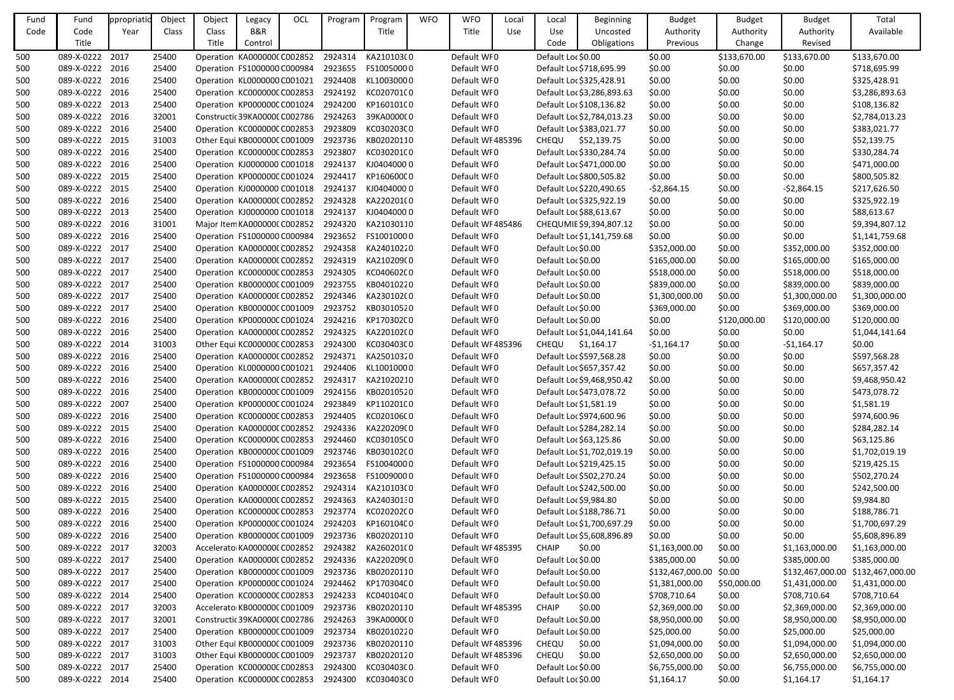| Fund | Fund            | ppropriatio | Object | Object | Legacy                                         | OCL | Program | Program    | <b>WFO</b> | <b>WFO</b>       | Local | Local              | <b>Beginning</b>           | <b>Budget</b>    | <b>Budget</b> | <b>Budget</b>    | Total            |
|------|-----------------|-------------|--------|--------|------------------------------------------------|-----|---------|------------|------------|------------------|-------|--------------------|----------------------------|------------------|---------------|------------------|------------------|
| Code | Code            | Year        | Class  | Class  | B&R                                            |     |         | Title      |            | Title            | Use   | Use                | Uncosted                   | Authority        | Authority     | Authority        | Available        |
|      | Title           |             |        | Title  | Control                                        |     |         |            |            |                  |       | Code               | Obligations                | Previous         | Change        | Revised          |                  |
| 500  | 089-X-0222 2017 |             | 25400  |        | Operation KA0000000 C002852                    |     | 2924314 | KA210103(0 |            | Default WF0      |       | Default Loc \$0.00 |                            | \$0.00           | \$133,670.00  | \$133,670.00     | \$133,670.00     |
| 500  | 089-X-0222 2016 |             | 25400  |        | Operation FS1000000 C000984                    |     | 2923655 | FS10050000 |            | Default WF0      |       |                    | Default Loc \$718,695.99   | \$0.00           | \$0.00        | \$0.00           | \$718,695.99     |
| 500  | 089-X-0222 2016 |             | 25400  |        | Operation KL0000000 C001021                    |     | 2924408 | KL10030000 |            | Default WF0      |       |                    | Default Loc \$325,428.91   | \$0.00           | \$0.00        | \$0.00           | \$325,428.91     |
| 500  | 089-X-0222 2016 |             | 25400  |        | Operation KC000000C C002853                    |     | 2924192 | KC02070100 |            | Default WF0      |       |                    | Default Loc \$3,286,893.63 | \$0.00           | \$0.00        | \$0.00           | \$3,286,893.63   |
| 500  | 089-X-0222 2013 |             | 25400  |        | Operation KP000000C C001024                    |     | 2924200 | KP160101C0 |            | Default WF0      |       |                    | Default Loc \$108,136.82   | \$0.00           | \$0.00        | \$0.00           | \$108,136.82     |
| 500  | 089-X-0222 2016 |             | 32001  |        | Constructic 39KA0000C C002786                  |     | 2924263 | 39KA000000 |            | Default WF0      |       |                    | Default Loc \$2,784,013.23 | \$0.00           | \$0.00        | \$0.00           | \$2,784,013.23   |
| 500  | 089-X-0222 2016 |             | 25400  |        | Operation KC000000C C002853                    |     | 2923809 | KC030203C0 |            | Default WF0      |       |                    | Default Loc \$383,021.77   | \$0.00           | \$0.00        | \$0.00           | \$383,021.77     |
| 500  | 089-X-0222 2015 |             | 31003  |        | Other Equi KB000000C C001009                   |     | 2923736 | KB02020110 |            | Default WF485396 |       | <b>CHEQU</b>       | \$52,139.75                | \$0.00           | \$0.00        | \$0.00           | \$52,139.75      |
| 500  | 089-X-0222 2016 |             | 25400  |        | Operation KC000000CC002853                     |     | 2923807 | KC03020100 |            | Default WF0      |       |                    | Default Loc \$330,284.74   | \$0.00           | \$0.00        | \$0.00           | \$330,284.74     |
| 500  | 089-X-0222 2016 |             | 25400  |        | Operation KJ0000000 C001018                    |     | 2924137 | KJ04040000 |            | Default WF0      |       |                    | Default Loc \$471,000.00   | \$0.00           | \$0.00        | \$0.00           | \$471,000.00     |
|      | 089-X-0222 2015 |             | 25400  |        | Operation KP000000C C001024                    |     | 2924417 | KP160600C0 |            | Default WF0      |       |                    | Default Loc \$800,505.82   | \$0.00           | \$0.00        | \$0.00           | \$800,505.82     |
| 500  | 089-X-0222 2015 |             | 25400  |        | Operation KJ0000000 C001018                    |     | 2924137 | KJ04040000 |            | Default WF0      |       |                    |                            |                  | \$0.00        |                  |                  |
| 500  | 089-X-0222 2016 |             |        |        |                                                |     | 2924328 |            |            |                  |       |                    | Default Loc \$220,490.65   | $-52,864.15$     |               | $-52,864.15$     | \$217,626.50     |
| 500  |                 |             | 25400  |        | Operation KA0000000 C002852                    |     |         | KA220201(0 |            | Default WF0      |       |                    | Default Loc \$325,922.19   | \$0.00           | \$0.00        | \$0.00           | \$325,922.19     |
| 500  | 089-X-0222 2013 |             | 25400  |        | Operation KJ0000000 C001018                    |     | 2924137 | KJ04040000 |            | Default WF0      |       |                    | Default Loc \$88,613.67    | \$0.00           | \$0.00        | \$0.00           | \$88,613.67      |
| 500  | 089-X-0222 2016 |             | 31001  |        | Major Item KA0000000 C002852                   |     | 2924320 | KA21030110 |            | Default WF485486 |       |                    | CHEQUMIE \$9,394,807.12    | \$0.00           | \$0.00        | \$0.00           | \$9,394,807.12   |
| 500  | 089-X-0222 2016 |             | 25400  |        | Operation FS1000000 C000984                    |     | 2923652 | FS10010000 |            | Default WF0      |       |                    | Default Loc \$1,141,759.68 | \$0.00           | \$0.00        | \$0.00           | \$1,141,759.68   |
| 500  | 089-X-0222 2017 |             | 25400  |        | Operation KA000000C C002852                    |     | 2924358 | KA24010220 |            | Default WF0      |       | Default Loc \$0.00 |                            | \$352,000.00     | \$0.00        | \$352,000.00     | \$352,000.00     |
| 500  | 089-X-0222 2017 |             | 25400  |        | Operation KA0000000 C002852                    |     | 2924319 | KA210209(0 |            | Default WF0      |       | Default Loc \$0.00 |                            | \$165,000.00     | \$0.00        | \$165,000.00     | \$165,000.00     |
| 500  | 089-X-0222 2017 |             | 25400  |        | Operation KC000000C C002853                    |     | 2924305 | KC04060200 |            | Default WF0      |       | Default Loc \$0.00 |                            | \$518,000.00     | \$0.00        | \$518,000.00     | \$518,000.00     |
| 500  | 089-X-0222 2017 |             | 25400  |        | Operation KB000000C C001009                    |     | 2923755 | KB04010220 |            | Default WF0      |       | Default Loc \$0.00 |                            | \$839,000.00     | \$0.00        | \$839,000.00     | \$839,000.00     |
| 500  | 089-X-0222 2017 |             | 25400  |        | Operation KA0000000 C002852                    |     | 2924346 | KA230102(0 |            | Default WF0      |       | Default Loc \$0.00 |                            | \$1,300,000.00   | \$0.00        | \$1,300,000.00   | \$1,300,000.00   |
| 500  | 089-X-0222 2017 |             | 25400  |        | Operation KB000000C C001009                    |     | 2923752 | KB03010520 |            | Default WF0      |       | Default Loc \$0.00 |                            | \$369,000.00     | \$0.00        | \$369,000.00     | \$369,000.00     |
| 500  | 089-X-0222 2016 |             | 25400  |        | Operation KP000000C C001024                    |     | 2924216 | KP170302C0 |            | Default WF0      |       | Default Loc \$0.00 |                            | \$0.00           | \$120,000.00  | \$120,000.00     | \$120,000.00     |
| 500  | 089-X-0222 2016 |             | 25400  |        | Operation KA0000000 C002852                    |     | 2924325 | KA220102(0 |            | Default WF0      |       |                    | Default Loc \$1,044,141.64 | \$0.00           | \$0.00        | \$0.00           | \$1,044,141.64   |
| 500  | 089-X-0222 2014 |             | 31003  |        | Other Equi KC000000C C002853                   |     | 2924300 | KC030403C0 |            | Default WF485396 |       | <b>CHEQU</b>       | \$1,164.17                 | $-$1,164.17$     | \$0.00        | $-$1,164.17$     | \$0.00           |
| 500  | 089-X-0222 2016 |             | 25400  |        | Operation KA0000000 C002852                    |     | 2924371 | KA25010320 |            | Default WF0      |       |                    | Default Loc \$597,568.28   | \$0.00           | \$0.00        | \$0.00           | \$597,568.28     |
| 500  | 089-X-0222 2016 |             | 25400  |        | Operation KL0000000 C001021                    |     | 2924406 | KL10010000 |            | Default WF0      |       |                    | Default Loc \$657,357.42   | \$0.00           | \$0.00        | \$0.00           | \$657,357.42     |
| 500  | 089-X-0222 2016 |             | 25400  |        | Operation KA0000000 C002852                    |     | 2924317 | KA21020210 |            | Default WF0      |       |                    | Default Loc \$9,468,950.42 | \$0.00           | \$0.00        | \$0.00           | \$9,468,950.42   |
| 500  | 089-X-0222 2016 |             | 25400  |        | Operation KB000000C C001009 2924156 KB02010520 |     |         |            |            | Default WFO      |       |                    | Default Loc \$473,078.72   | \$0.00           | \$0.00        | \$0.00           | \$473,078.72     |
| 500  | 089-X-0222 2007 |             | 25400  |        | Operation KP000000CC001024                     |     | 2923849 | KP110201C0 |            | Default WFO      |       |                    | Default Loc \$1,581.19     | \$0.00           | \$0.00        | \$0.00           | \$1,581.19       |
| 500  | 089-X-0222 2016 |             | 25400  |        | Operation KC000000CC002853                     |     | 2924405 | KC020106C0 |            | Default WF0      |       |                    | Default Loc \$974,600.96   | \$0.00           | \$0.00        | \$0.00           | \$974,600.96     |
| 500  | 089-X-0222 2015 |             | 25400  |        | Operation KA0000000 C002852                    |     | 2924336 | KA220209(0 |            | Default WF0      |       |                    | Default Loc \$284,282.14   | \$0.00           | \$0.00        | \$0.00           | \$284,282.14     |
| 500  | 089-X-0222 2016 |             | 25400  |        | Operation KC000000C C002853                    |     | 2924460 | KC030105C0 |            | Default WF0      |       |                    | Default Loc \$63,125.86    | \$0.00           | \$0.00        | \$0.00           | \$63,125.86      |
| 500  | 089-X-0222 2016 |             | 25400  |        | Operation KB000000C C001009                    |     | 2923746 | KB030102C0 |            | Default WF0      |       |                    | Default Loc \$1,702,019.19 | \$0.00           | \$0.00        | \$0.00           | \$1,702,019.19   |
| 500  | 089-X-0222 2016 |             | 25400  |        | Operation FS1000000 C000984                    |     | 2923654 | FS10040000 |            | Default WF0      |       |                    | Default Loc \$219,425.15   | \$0.00           | \$0.00        | \$0.00           | \$219,425.15     |
| 500  | 089-X-0222 2016 |             | 25400  |        | Operation FS1000000 C000984                    |     | 2923658 | FS10090000 |            | Default WF0      |       |                    | Default Loc \$502,270.24   | \$0.00           | \$0.00        | \$0.00           | \$502,270.24     |
| 500  | 089-X-0222 2016 |             | 25400  |        | Operation KA0000000 C002852                    |     | 2924314 | KA210103(0 |            | Default WF0      |       |                    | Default Loc \$242,500.00   | \$0.00           | \$0.00        | \$0.00           | \$242,500.00     |
| 500  | 089-X-0222 2015 |             | 25400  |        | Operation KA0000000 C002852                    |     | 2924363 | KA24030130 |            | Default WF0      |       |                    | Default Loc \$9,984.80     | \$0.00           | \$0.00        | \$0.00           | \$9,984.80       |
| 500  | 089-X-0222 2016 |             | 25400  |        | Operation KC000000C C002853                    |     | 2923774 | KC020202C0 |            | Default WF0      |       |                    | Default Loc \$188,786.71   | \$0.00           | \$0.00        | \$0.00           | \$188,786.71     |
| 500  | 089-X-0222 2016 |             | 25400  |        | Operation KP000000C C001024                    |     | 2924203 | KP160104C0 |            | Default WFO      |       |                    | Default Loc \$1,700,697.29 | \$0.00           | \$0.00        | \$0.00           | \$1,700,697.29   |
| 500  | 089-X-0222 2016 |             | 25400  |        | Operation KB000000C C001009                    |     | 2923736 | KB02020110 |            | Default WFO      |       |                    | Default Loc \$5,608,896.89 | \$0.00           | \$0.00        | \$0.00           | \$5,608,896.89   |
| 500  | 089-X-0222 2017 |             | 32003  |        | Accelerato KA0000000 C002852                   |     | 2924382 | KA260201(0 |            | Default WF485395 |       | <b>CHAIP</b>       | \$0.00                     | \$1,163,000.00   | \$0.00        | \$1,163,000.00   | \$1,163,000.00   |
| 500  | 089-X-0222 2017 |             | 25400  |        | Operation KA0000000 C002852                    |     | 2924336 | KA220209(0 |            | Default WF0      |       | Default Loc \$0.00 |                            | \$385,000.00     | \$0.00        | \$385,000.00     | \$385,000.00     |
| 500  | 089-X-0222 2017 |             | 25400  |        | Operation KB000000C C001009                    |     | 2923736 | KB02020110 |            | Default WF0      |       | Default Loc \$0.00 |                            | \$132,467,000.00 | \$0.00        | \$132,467,000.00 | \$132,467,000.00 |
| 500  | 089-X-0222 2017 |             | 25400  |        | Operation KP000000C C001024                    |     | 2924462 | KP170304C0 |            | Default WFO      |       | Default Loc \$0.00 |                            | \$1,381,000.00   | \$50,000.00   | \$1,431,000.00   | \$1,431,000.00   |
| 500  | 089-X-0222 2014 |             | 25400  |        | Operation KC000000C C002853                    |     | 2924233 | KC040104C0 |            | Default WF0      |       | Default Loc \$0.00 |                            | \$708,710.64     | \$0.00        | \$708,710.64     | \$708,710.64     |
| 500  | 089-X-0222 2017 |             | 32003  |        | Accelerato KB000000C C001009                   |     | 2923736 | KB02020110 |            | Default WF485395 |       | <b>CHAIP</b>       | \$0.00                     | \$2,369,000.00   | \$0.00        | \$2,369,000.00   | \$2,369,000.00   |
| 500  | 089-X-0222 2017 |             | 32001  |        | Constructic 39KA0000C C002786                  |     | 2924263 | 39KA000000 |            | Default WF0      |       | Default Loc \$0.00 |                            | \$8,950,000.00   | \$0.00        | \$8,950,000.00   | \$8,950,000.00   |
| 500  | 089-X-0222 2017 |             | 25400  |        | Operation KB000000C C001009                    |     | 2923734 | KB02010220 |            | Default WF0      |       | Default Loc \$0.00 |                            | \$25,000.00      | \$0.00        | \$25,000.00      | \$25,000.00      |
| 500  | 089-X-0222 2017 |             | 31003  |        | Other Equi KB000000C C001009                   |     | 2923736 | KB02020110 |            | Default WF485396 |       | <b>CHEQU</b>       | \$0.00                     | \$1,094,000.00   | \$0.00        | \$1,094,000.00   | \$1,094,000.00   |
| 500  | 089-X-0222 2017 |             | 31003  |        | Other Equi KB000000C C001009                   |     | 2923737 | KB02020120 |            | Default WF485396 |       | <b>CHEQU</b>       | \$0.00                     | \$2,650,000.00   | \$0.00        | \$2,650,000.00   | \$2,650,000.00   |
| 500  | 089-X-0222 2017 |             | 25400  |        | Operation KC000000C C002853                    |     | 2924300 | KC030403C0 |            | Default WF0      |       | Default Loc \$0.00 |                            | \$6,755,000.00   | \$0.00        | \$6,755,000.00   | \$6,755,000.00   |
| 500  | 089-X-0222 2014 |             | 25400  |        | Operation KC000000CC002853                     |     | 2924300 | KC030403C0 |            | Default WF0      |       | Default Loc \$0.00 |                            | \$1,164.17       | \$0.00        | \$1,164.17       | \$1,164.17       |
|      |                 |             |        |        |                                                |     |         |            |            |                  |       |                    |                            |                  |               |                  |                  |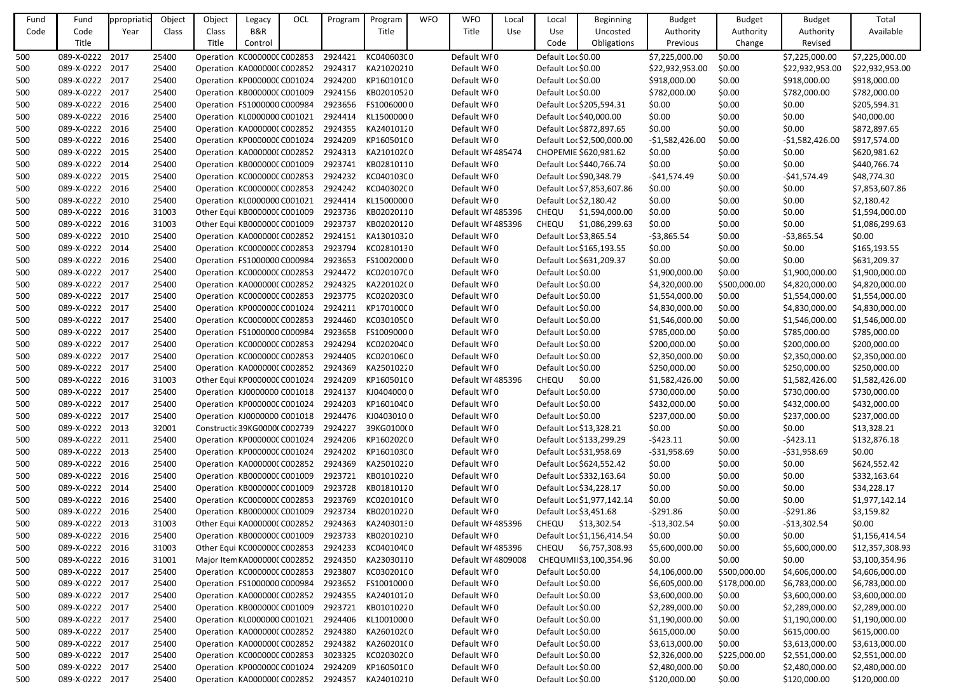| Fund | Fund            | ppropriatio | Object | Object | Legacy                               | OCL | Program | Program                                         | <b>WFO</b> | <b>WFO</b>        | Local | Local              | <b>Beginning</b>           | <b>Budget</b>    | <b>Budget</b> | <b>Budget</b>    | Total           |
|------|-----------------|-------------|--------|--------|--------------------------------------|-----|---------|-------------------------------------------------|------------|-------------------|-------|--------------------|----------------------------|------------------|---------------|------------------|-----------------|
| Code | Code            | Year        | Class  | Class  | B&R                                  |     |         | Title                                           |            | Title             | Use   | Use                | Uncosted                   | Authority        | Authority     | Authority        | Available       |
|      | Title           |             |        | Title  | Control                              |     |         |                                                 |            |                   |       | Code               | Obligations                | Previous         | Change        | Revised          |                 |
| 500  | 089-X-0222 2017 |             | 25400  |        | Operation KC000000C C002853          |     | 2924421 | KC040603C0                                      |            | Default WF0       |       | Default Loc \$0.00 |                            | \$7,225,000.00   | \$0.00        | \$7,225,000.00   | \$7,225,000.00  |
| 500  | 089-X-0222 2017 |             | 25400  |        | Operation KA0000000 C002852          |     | 2924317 | KA21020210                                      |            | Default WF0       |       | Default Loc \$0.00 |                            | \$22,932,953.00  | \$0.00        | \$22,932,953.00  | \$22,932,953.00 |
| 500  | 089-X-0222 2017 |             | 25400  |        | Operation KP000000C C001024          |     | 2924200 | KP160101C0                                      |            | Default WF0       |       | Default Loc \$0.00 |                            | \$918,000.00     | \$0.00        | \$918,000.00     | \$918,000.00    |
| 500  | 089-X-0222 2017 |             | 25400  |        | Operation KB000000C C001009          |     | 2924156 | KB02010520                                      |            | Default WF0       |       | Default Loc \$0.00 |                            | \$782,000.00     | \$0.00        | \$782,000.00     | \$782,000.00    |
| 500  | 089-X-0222 2016 |             | 25400  |        | Operation FS1000000 C000984          |     | 2923656 | FS10060000                                      |            | Default WF0       |       |                    | Default Loc \$205,594.31   | \$0.00           | \$0.00        | \$0.00           | \$205,594.31    |
| 500  | 089-X-0222 2016 |             | 25400  |        | Operation KL0000000 C001021          |     | 2924414 | KL15000000                                      |            | Default WF0       |       |                    | Default Loc \$40,000.00    | \$0.00           | \$0.00        | \$0.00           | \$40,000.00     |
| 500  | 089-X-0222 2016 |             | 25400  |        | Operation KA000000C C002852          |     | 2924355 | KA24010120                                      |            | Default WF0       |       |                    | Default Loc \$872,897.65   | \$0.00           | \$0.00        | \$0.00           | \$872,897.65    |
| 500  | 089-X-0222 2016 |             | 25400  |        | Operation KP000000C C001024          |     | 2924209 | KP160501C0                                      |            | Default WF0       |       |                    | Default Loc \$2,500,000.00 | $-51,582,426.00$ | \$0.00        | $-$1,582,426.00$ | \$917,574.00    |
| 500  | 089-X-0222 2015 |             | 25400  |        | Operation KA0000000 C002852          |     | 2924313 | KA210102(0                                      |            | Default WF485474  |       |                    | CHOPEMIE \$620,981.62      | \$0.00           | \$0.00        | \$0.00           | \$620,981.62    |
| 500  | 089-X-0222 2014 |             | 25400  |        | Operation KB000000C C001009          |     | 2923741 | KB02810110                                      |            | Default WF0       |       |                    | Default Loc \$440,766.74   | \$0.00           | \$0.00        | \$0.00           | \$440,766.74    |
| 500  | 089-X-0222 2015 |             | 25400  |        | Operation KC000000C C002853          |     | 2924232 | KC040103C0                                      |            | Default WF0       |       |                    | Default Loc \$90,348.79    | $-541,574.49$    | \$0.00        | -\$41,574.49     | \$48,774.30     |
| 500  | 089-X-0222 2016 |             | 25400  |        | Operation KC000000C C002853          |     | 2924242 | KC040302C0                                      |            | Default WF0       |       |                    | Default Loc \$7,853,607.86 | \$0.00           | \$0.00        | \$0.00           | \$7,853,607.86  |
| 500  | 089-X-0222 2010 |             | 25400  |        | Operation KL0000000 C001021          |     | 2924414 | KL15000000                                      |            | Default WF0       |       |                    | Default Loc \$2,180.42     | \$0.00           | \$0.00        | \$0.00           | \$2,180.42      |
| 500  | 089-X-0222 2016 |             | 31003  |        | Other Equi KB000000C C001009         |     | 2923736 | KB02020110                                      |            | Default WF485396  |       | CHEQU              | \$1,594,000.00             | \$0.00           | \$0.00        | \$0.00           | \$1,594,000.00  |
| 500  | 089-X-0222 2016 |             | 31003  |        | Other Equi KB000000C C001009         |     | 2923737 | KB02020120                                      |            | Default WF485396  |       | CHEQU              | \$1,086,299.63             | \$0.00           | \$0.00        | \$0.00           | \$1,086,299.63  |
| 500  | 089-X-0222 2010 |             | 25400  |        | Operation KA000000C C002852          |     | 2924151 | KA13010320                                      |            | Default WF0       |       |                    | Default Loc \$3,865.54     | $-53,865.54$     | \$0.00        | $-53,865.54$     | \$0.00          |
| 500  | 089-X-0222 2014 |             | 25400  |        | Operation KC000000C C002853          |     | 2923794 | KC02810130                                      |            | Default WF0       |       |                    | Default Loc \$165,193.55   | \$0.00           | \$0.00        | \$0.00           | \$165,193.55    |
| 500  | 089-X-0222 2016 |             | 25400  |        | Operation FS1000000 C000984          |     | 2923653 | FS10020000                                      |            | Default WF0       |       |                    | Default Loc \$631,209.37   | \$0.00           | \$0.00        | \$0.00           | \$631,209.37    |
| 500  | 089-X-0222 2017 |             | 25400  |        | Operation KC000000C C002853          |     | 2924472 | KC020107C0                                      |            | Default WF0       |       | Default Loc \$0.00 |                            | \$1,900,000.00   | \$0.00        | \$1,900,000.00   | \$1,900,000.00  |
| 500  | 089-X-0222 2017 |             | 25400  |        | Operation KA000000C C002852          |     | 2924325 | KA220102(0                                      |            | Default WF0       |       | Default Loc \$0.00 |                            | \$4,320,000.00   | \$500,000.00  | \$4,820,000.00   | \$4,820,000.00  |
| 500  | 089-X-0222 2017 |             | 25400  |        | Operation KC000000C C002853          |     | 2923775 | KC020203C0                                      |            | Default WF0       |       | Default Loc \$0.00 |                            | \$1,554,000.00   | \$0.00        | \$1,554,000.00   | \$1,554,000.00  |
| 500  | 089-X-0222 2017 |             | 25400  |        | Operation KP000000C C001024          |     | 2924211 | KP170100C0                                      |            | Default WF0       |       | Default Loc \$0.00 |                            | \$4,830,000.00   | \$0.00        | \$4,830,000.00   | \$4,830,000.00  |
| 500  | 089-X-0222 2017 |             | 25400  |        | Operation KC000000C C002853          |     | 2924460 | KC030105C0                                      |            | Default WF0       |       | Default Loc \$0.00 |                            | \$1,546,000.00   | \$0.00        | \$1,546,000.00   | \$1,546,000.00  |
| 500  | 089-X-0222 2017 |             | 25400  |        | Operation FS1000000 C000984          |     | 2923658 | FS10090000                                      |            | Default WF0       |       | Default Loc \$0.00 |                            | \$785,000.00     | \$0.00        | \$785,000.00     | \$785,000.00    |
| 500  | 089-X-0222 2017 |             | 25400  |        | Operation KC000000C C002853          |     | 2924294 | KC02020400                                      |            | Default WF0       |       | Default Loc \$0.00 |                            | \$200,000.00     | \$0.00        | \$200,000.00     | \$200,000.00    |
| 500  | 089-X-0222 2017 |             | 25400  |        | Operation KC000000C C002853          |     | 2924405 | KC020106C0                                      |            | Default WF0       |       | Default Loc \$0.00 |                            | \$2,350,000.00   | \$0.00        | \$2,350,000.00   | \$2,350,000.00  |
| 500  | 089-X-0222 2017 |             | 25400  |        | Operation KA000000C C002852          |     | 2924369 | KA25010220                                      |            | Default WF0       |       | Default Loc \$0.00 |                            | \$250,000.00     | \$0.00        | \$250,000.00     | \$250,000.00    |
| 500  | 089-X-0222 2016 |             | 31003  |        | Other Equi KP000000C C001024         |     | 2924209 | KP160501C0                                      |            | Default WF485396  |       | <b>CHEQU</b>       | \$0.00                     | \$1,582,426.00   | \$0.00        | \$1,582,426.00   | \$1,582,426.00  |
| 500  | 089-X-0222 2017 |             | 25400  |        |                                      |     |         | Operation KJ0000000 C001018 2924137 KJ0404000 0 |            | Default WF0       |       | Default Loc \$0.00 |                            | \$730,000.00     | \$0.00        | \$730,000.00     | \$730,000.00    |
| 500  | 089-X-0222 2017 |             | 25400  |        | Operation KP000000C C001024          |     | 2924203 | KP160104C0                                      |            | Default WF0       |       | Default Loc \$0.00 |                            | \$432,000.00     | \$0.00        | \$432,000.00     | \$432,000.00    |
| 500  | 089-X-0222 2017 |             | 25400  |        | Operation KJ0000000 C001018          |     | 2924476 | KJ04030100                                      |            | Default WF0       |       | Default Loc \$0.00 |                            | \$237,000.00     | \$0.00        | \$237,000.00     | \$237,000.00    |
| 500  | 089-X-0222 2013 |             | 32001  |        | Constructic 39KG0000(C002739         |     | 2924227 | 39KG0100(0                                      |            | Default WF0       |       |                    | Default Loc \$13,328.21    | \$0.00           | \$0.00        | \$0.00           | \$13,328.21     |
| 500  | 089-X-0222 2011 |             | 25400  |        | Operation KP000000C C001024          |     | 2924206 | KP160202C0                                      |            | Default WF0       |       |                    | Default Loc \$133,299.29   | $-5423.11$       | \$0.00        | $-5423.11$       | \$132,876.18    |
| 500  | 089-X-0222 2013 |             | 25400  |        | Operation KP000000C C001024          |     | 2924202 | KP160103C0                                      |            | Default WF0       |       |                    | Default Loc \$31,958.69    | $-531,958.69$    | \$0.00        | $-531,958.69$    | \$0.00          |
| 500  | 089-X-0222 2016 |             | 25400  |        | Operation KA0000000 C002852          |     | 2924369 | KA25010220                                      |            | Default WF0       |       |                    | Default Loc \$624,552.42   | \$0.00           | \$0.00        | \$0.00           | \$624,552.42    |
| 500  | 089-X-0222 2016 |             | 25400  |        | Operation KB000000C C001009          |     | 2923721 | KB01010220                                      |            | Default WF0       |       |                    | Default Loc \$332,163.64   | \$0.00           | \$0.00        | \$0.00           | \$332,163.64    |
| 500  | 089-X-0222 2014 |             | 25400  |        | Operation KB000000C C001009          |     | 2923728 | KB01810120                                      |            | Default WF0       |       |                    | Default Loc \$34,228.17    | \$0.00           | \$0.00        | \$0.00           | \$34,228.17     |
| 500  | 089-X-0222 2016 |             | 25400  |        | Operation KC000000C C002853          |     | 2923769 | KC020101C0                                      |            | Default WF0       |       |                    | Default Loc \$1,977,142.14 | \$0.00           | \$0.00        | \$0.00           | \$1,977,142.14  |
| 500  | 089-X-0222 2016 |             | 25400  |        | Operation KB000000C C001009          |     | 2923734 | KB02010220                                      |            | Default WF0       |       |                    | Default Loc \$3,451.68     | $-5291.86$       | \$0.00        | -\$291.86        | \$3,159.82      |
| 500  | 089-X-0222 2013 |             | 31003  |        | Other Equi KA0000000 C002852         |     | 2924363 | KA24030130                                      |            | Default WF485396  |       | <b>CHEQU</b>       | \$13,302.54                | $-$13,302.54$    | \$0.00        | $-$13,302.54$    | \$0.00          |
| 500  | 089-X-0222 2016 |             | 25400  |        | Operation KB000000C C001009          |     | 2923733 | KB02010210                                      |            | Default WF0       |       |                    | Default Loc \$1,156,414.54 | \$0.00           | \$0.00        | \$0.00           | \$1,156,414.54  |
| 500  | 089-X-0222 2016 |             | 31003  |        | Other Equi KC000000C C002853         |     | 2924233 | KC04010400                                      |            | Default WF485396  |       | <b>CHEQU</b>       | \$6,757,308.93             | \$5,600,000.00   | \$0.00        | \$5,600,000.00   | \$12,357,308.93 |
| 500  | 089-X-0222 2016 |             | 31001  |        | Major Item KA0000000 C002852 2924350 |     |         | KA23030110                                      |            | Default WF4809008 |       |                    | CHEQUMII\$3,100,354.96     | \$0.00           | \$0.00        | \$0.00           | \$3,100,354.96  |
| 500  | 089-X-0222 2017 |             | 25400  |        | Operation KC000000C C002853          |     | 2923807 | KC03020100                                      |            | Default WF0       |       | Default Loc \$0.00 |                            | \$4,106,000.00   | \$500,000.00  | \$4,606,000.00   | \$4,606,000.00  |
| 500  | 089-X-0222 2017 |             | 25400  |        | Operation FS1000000 C000984          |     | 2923652 | FS10010000                                      |            | Default WF0       |       | Default Loc \$0.00 |                            | \$6,605,000.00   | \$178,000.00  | \$6,783,000.00   | \$6,783,000.00  |
| 500  | 089-X-0222 2017 |             | 25400  |        | Operation KA000000C C002852          |     | 2924355 | KA24010120                                      |            | Default WF0       |       | Default Loc \$0.00 |                            | \$3,600,000.00   | \$0.00        | \$3,600,000.00   | \$3,600,000.00  |
| 500  | 089-X-0222 2017 |             | 25400  |        | Operation KB000000C C001009          |     | 2923721 | KB01010220                                      |            | Default WF0       |       | Default Loc \$0.00 |                            | \$2,289,000.00   | \$0.00        | \$2,289,000.00   | \$2,289,000.00  |
| 500  | 089-X-0222 2017 |             | 25400  |        | Operation KL0000000 C001021          |     | 2924406 | KL10010000                                      |            | Default WF0       |       | Default Loc \$0.00 |                            | \$1,190,000.00   | \$0.00        | \$1,190,000.00   | \$1,190,000.00  |
| 500  | 089-X-0222 2017 |             | 25400  |        | Operation KA000000C C002852          |     | 2924380 | KA260102(0                                      |            | Default WF0       |       | Default Loc \$0.00 |                            | \$615,000.00     | \$0.00        | \$615,000.00     | \$615,000.00    |
| 500  | 089-X-0222 2017 |             | 25400  |        | Operation KA000000CC002852           |     | 2924382 | KA260201(0                                      |            | Default WF0       |       | Default Loc \$0.00 |                            | \$3,613,000.00   | \$0.00        | \$3,613,000.00   | \$3,613,000.00  |
| 500  | 089-X-0222 2017 |             | 25400  |        | Operation KC000000C C002853          |     | 3023325 | KC020302C0                                      |            | Default WF0       |       | Default Loc \$0.00 |                            | \$2,326,000.00   | \$225,000.00  | \$2,551,000.00   | \$2,551,000.00  |
| 500  | 089-X-0222 2017 |             | 25400  |        | Operation KP000000C C001024          |     | 2924209 | KP160501C0                                      |            | Default WF0       |       | Default Loc \$0.00 |                            | \$2,480,000.00   | \$0.00        | \$2,480,000.00   | \$2,480,000.00  |
| 500  | 089-X-0222 2017 |             | 25400  |        | Operation KA000000C C002852 2924357  |     |         | KA24010210                                      |            | Default WF0       |       | Default Loc \$0.00 |                            | \$120,000.00     | \$0.00        | \$120,000.00     | \$120,000.00    |
|      |                 |             |        |        |                                      |     |         |                                                 |            |                   |       |                    |                            |                  |               |                  |                 |

| et   | <b>Budget</b>    | Total           |
|------|------------------|-----------------|
| rity | Authority        | Available       |
| ge   | Revised          |                 |
|      | \$7,225,000.00   | \$7,225,000.00  |
|      | \$22,932,953.00  | \$22,932,953.00 |
|      | \$918,000.00     | \$918,000.00    |
|      | \$782,000.00     | \$782,000.00    |
|      | \$0.00           | \$205,594.31    |
|      | \$0.00           | \$40,000.00     |
|      | \$0.00           | \$872,897.65    |
|      | $-51,582,426.00$ | \$917,574.00    |
|      | \$0.00           | \$620,981.62    |
|      | \$0.00           | \$440,766.74    |
|      | $-$41,574.49$    | \$48,774.30     |
|      | \$0.00           | \$7,853,607.86  |
|      | \$0.00           | \$2,180.42      |
|      | \$0.00           | \$1,594,000.00  |
|      | \$0.00           | \$1,086,299.63  |
|      | $-53,865.54$     | \$0.00          |
|      | \$0.00           | \$165,193.55    |
|      | \$0.00           | \$631,209.37    |
|      | \$1,900,000.00   | \$1,900,000.00  |
| 00   | \$4,820,000.00   | \$4,820,000.00  |
|      | \$1,554,000.00   | \$1,554,000.00  |
|      | \$4,830,000.00   | \$4,830,000.00  |
|      | \$1,546,000.00   | \$1,546,000.00  |
|      | \$785,000.00     | \$785,000.00    |
|      | \$200,000.00     | \$200,000.00    |
|      | \$2,350,000.00   | \$2,350,000.00  |
|      | \$250,000.00     | \$250,000.00    |
|      | \$1,582,426.00   | \$1,582,426.00  |
|      | \$730,000.00     | \$730,000.00    |
|      | \$432,000.00     | \$432,000.00    |
|      | \$237,000.00     | \$237,000.00    |
|      | \$0.00           | \$13,328.21     |
|      | $-5423.11$       | \$132,876.18    |
|      | $-531,958.69$    | \$0.00          |
|      | \$0.00           | \$624,552.42    |
|      | \$0.00           | \$332,163.64    |
|      | \$0.00           | \$34,228.17     |
|      | \$0.00           | \$1,977,142.14  |
|      | $-5291.86$       | \$3,159.82      |
|      | $-$13,302.54$    | \$0.00          |
|      | \$0.00           | \$1,156,414.54  |
|      | \$5,600,000.00   | \$12,357,308.93 |
|      | \$0.00           | \$3,100,354.96  |
| 00   | \$4,606,000.00   | \$4,606,000.00  |
| 00   | \$6,783,000.00   | \$6,783,000.00  |
|      | \$3,600,000.00   | \$3,600,000.00  |
|      | \$2,289,000.00   | \$2,289,000.00  |
|      | \$1,190,000.00   | \$1,190,000.00  |
|      | \$615,000.00     | \$615,000.00    |
|      | \$3,613,000.00   | \$3,613,000.00  |
| 00   | \$2,551,000.00   | \$2,551,000.00  |
|      | \$2,480,000.00   | \$2,480,000.00  |
|      | \$120,000.00     | \$120,000.00    |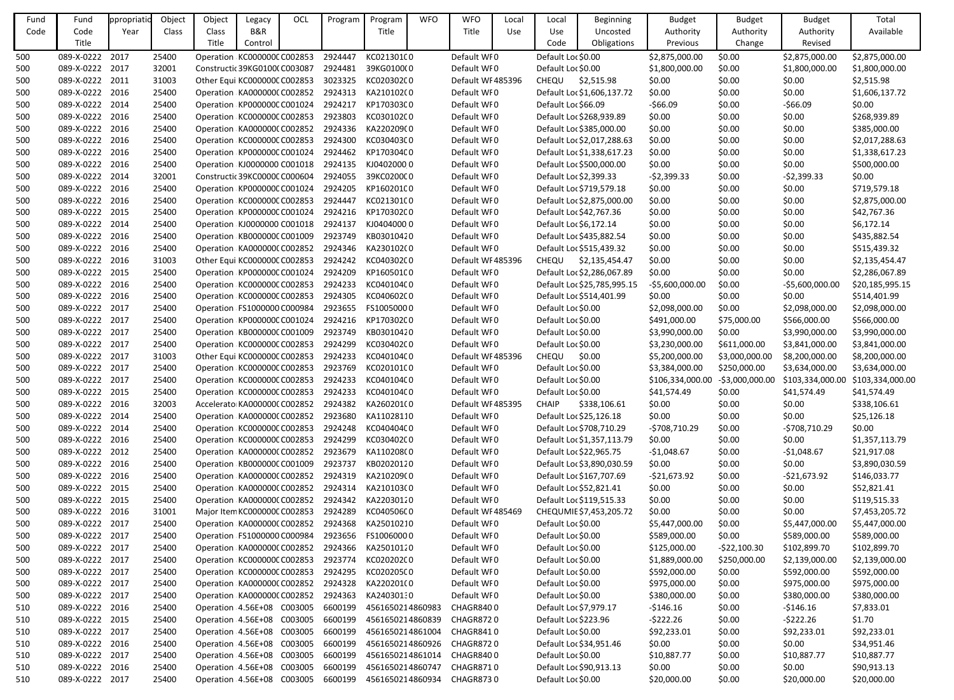| Fund       | Fund            | ppropriati | Object | Object | Legacy                        | OCL | Program | Program                    | <b>WFO</b> | <b>WFO</b>                    | Local | Local                  | <b>Beginning</b>            | <b>Budget</b>                    | <b>Budget</b>  | <b>Budget</b>                     | Total           |
|------------|-----------------|------------|--------|--------|-------------------------------|-----|---------|----------------------------|------------|-------------------------------|-------|------------------------|-----------------------------|----------------------------------|----------------|-----------------------------------|-----------------|
| Code       | Code            | Year       | Class  | Class  | B&R                           |     |         | Title                      |            | Title                         | Use   | <b>Use</b>             | Uncosted                    | Authority                        | Authority      | Authority                         | Available       |
|            | Title           |            |        | Title  | Control                       |     |         |                            |            |                               |       | Code                   | Obligations                 | Previous                         | Change         | Revised                           |                 |
| 500        | 089-X-0222 2017 |            | 25400  |        | Operation KC000000C C002853   |     | 2924447 | KC02130100                 |            | Default WF0                   |       | Default Loc \$0.00     |                             | \$2,875,000.00                   | \$0.00         | \$2,875,000.00                    | \$2,875,000.00  |
| 500        | 089-X-0222 2017 |            | 32001  |        | Constructic 39KG0100(C003087  |     | 2924481 | 39KG0100(0                 |            | Default WF0                   |       | Default Loc \$0.00     |                             | \$1,800,000.00                   | \$0.00         | \$1,800,000.00                    | \$1,800,000.00  |
| 500        | 089-X-0222 2011 |            | 31003  |        | Other Equi KC000000C C002853  |     | 3023325 | KC020302C0                 |            | Default WF485396              |       | <b>CHEQU</b>           | \$2,515.98                  | \$0.00                           | \$0.00         | \$0.00                            | \$2,515.98      |
| 500        | 089-X-0222 2016 |            | 25400  |        | Operation KA0000000 C002852   |     | 2924313 | KA210102(0                 |            | Default WF0                   |       |                        | Default Loc \$1,606,137.72  | \$0.00                           | \$0.00         | \$0.00                            | \$1,606,137.72  |
| 500        | 089-X-0222 2014 |            | 25400  |        | Operation KP000000C C001024   |     | 2924217 | KP170303C0                 |            | Default WF0                   |       | Default Loc \$66.09    |                             | $-566.09$                        | \$0.00         | $-566.09$                         | \$0.00          |
| 500        | 089-X-0222 2016 |            | 25400  |        | Operation KC000000C C002853   |     | 2923803 | KC03010200                 |            | Default WF0                   |       |                        | Default Loc \$268,939.89    | \$0.00                           | \$0.00         | \$0.00                            | \$268,939.89    |
| 500        | 089-X-0222 2016 |            | 25400  |        | Operation KA000000C C002852   |     | 2924336 | KA220209(0                 |            | Default WF0                   |       |                        | Default Loc \$385,000.00    | \$0.00                           | \$0.00         | \$0.00                            | \$385,000.00    |
| 500        | 089-X-0222 2016 |            | 25400  |        | Operation KC000000C C002853   |     | 2924300 | KC030403C0                 |            | Default WF0                   |       |                        | Default Loc \$2,017,288.63  | \$0.00                           | \$0.00         | \$0.00                            | \$2,017,288.63  |
| 500        | 089-X-0222 2016 |            | 25400  |        | Operation KP000000C C001024   |     | 2924462 | KP170304C0                 |            | Default WF0                   |       |                        | Default Loc \$1,338,617.23  | \$0.00                           | \$0.00         | \$0.00                            | \$1,338,617.23  |
| 500        | 089-X-0222 2016 |            | 25400  |        | Operation KJ0000000 C001018   |     | 2924135 | KJ04020000                 |            | Default WF0                   |       |                        | Default Loc \$500,000.00    | \$0.00                           | \$0.00         | \$0.00                            | \$500,000.00    |
| 500        | 089-X-0222 2014 |            | 32001  |        | Constructic 39KC0000C C000604 |     | 2924055 | 39KC0200C0                 |            | Default WF0                   |       | Default Loc \$2,399.33 |                             | $-52,399.33$                     | \$0.00         | $-52,399.33$                      | \$0.00          |
| 500        | 089-X-0222 2016 |            | 25400  |        | Operation KP000000C C001024   |     | 2924205 | KP16020100                 |            | Default WF0                   |       |                        | Default Loc \$719,579.18    | \$0.00                           | \$0.00         | \$0.00                            | \$719,579.18    |
| 500        | 089-X-0222 2016 |            | 25400  |        | Operation KC000000C C002853   |     | 2924447 | KC021301C0                 |            | Default WF0                   |       |                        | Default Loc \$2,875,000.00  | \$0.00                           | \$0.00         | \$0.00                            | \$2,875,000.00  |
| 500        | 089-X-0222 2015 |            | 25400  |        | Operation KP000000C C001024   |     | 2924216 | KP170302C0                 |            | Default WF0                   |       |                        | Default Loc \$42,767.36     | \$0.00                           | \$0.00         | \$0.00                            | \$42,767.36     |
| 500        | 089-X-0222 2014 |            | 25400  |        | Operation KJ0000000 C001018   |     | 2924137 | KJ04040000                 |            | Default WF0                   |       | Default Loc \$6,172.14 |                             | \$0.00                           | \$0.00         | \$0.00                            | \$6,172.14      |
| 500        | 089-X-0222 2016 |            | 25400  |        | Operation KB000000C C001009   |     | 2923749 | KB03010420                 |            | Default WF0                   |       |                        | Default Loc \$435,882.54    | \$0.00                           | \$0.00         | \$0.00                            | \$435,882.54    |
| 500        | 089-X-0222 2016 |            | 25400  |        | Operation KA0000000 C002852   |     | 2924346 | KA230102(0                 |            | Default WF0                   |       |                        | Default Loc \$515,439.32    | \$0.00                           | \$0.00         | \$0.00                            | \$515,439.32    |
| 500        | 089-X-0222 2016 |            | 31003  |        | Other Equi KC000000C C002853  |     | 2924242 | KC040302C0                 |            | Default WF485396              |       | <b>CHEQU</b>           | \$2,135,454.47              | \$0.00                           | \$0.00         | \$0.00                            | \$2,135,454.47  |
| 500        | 089-X-0222 2015 |            | 25400  |        | Operation KP000000C C001024   |     | 2924209 | KP160501C0                 |            | Default WF0                   |       |                        | Default Loc \$2,286,067.89  | \$0.00                           | \$0.00         | \$0.00                            | \$2,286,067.89  |
| 500        | 089-X-0222 2016 |            | 25400  |        | Operation KC000000C C002853   |     | 2924233 | KC04010400                 |            | Default WF0                   |       |                        | Default Loc \$25,785,995.15 | $-55,600,000.00$                 | \$0.00         | $-55,600,000.00$                  | \$20,185,995.15 |
| 500        | 089-X-0222 2016 |            | 25400  |        | Operation KC000000C C002853   |     | 2924305 | KC04060200                 |            | Default WF0                   |       |                        | Default Loc \$514,401.99    | \$0.00                           | \$0.00         | \$0.00                            | \$514,401.99    |
| 500        | 089-X-0222 2017 |            | 25400  |        | Operation FS1000000 C000984   |     | 2923655 | FS10050000                 |            | Default WF0                   |       | Default Loc \$0.00     |                             | \$2,098,000.00                   | \$0.00         | \$2,098,000.00                    | \$2,098,000.00  |
| 500        | 089-X-0222 2017 |            | 25400  |        | Operation KP000000C C001024   |     | 2924216 | KP170302C0                 |            | Default WF0                   |       | Default Loc \$0.00     |                             | \$491,000.00                     | \$75,000.00    | \$566,000.00                      | \$566,000.00    |
| 500        | 089-X-0222 2017 |            | 25400  |        | Operation KB000000C C001009   |     | 2923749 | KB03010420                 |            | Default WF0                   |       | Default Loc \$0.00     |                             | \$3,990,000.00                   | \$0.00         | \$3,990,000.00                    | \$3,990,000.00  |
| 500        | 089-X-0222 2017 |            | 25400  |        | Operation KC000000C C002853   |     | 2924299 | KC030402C0                 |            | Default WF0                   |       | Default Loc \$0.00     |                             | \$3,230,000.00                   | \$611,000.00   | \$3,841,000.00                    | \$3,841,000.00  |
| 500        | 089-X-0222 2017 |            | 31003  |        | Other Equi KC000000C C002853  |     | 2924233 | KC040104C0                 |            | Default WF485396              |       | CHEQU                  | \$0.00                      | \$5,200,000.00                   | \$3,000,000.00 | \$8,200,000.00                    | \$8,200,000.00  |
| 500        | 089-X-0222 2017 |            | 25400  |        | Operation KC000000C C002853   |     | 2923769 | KC02010100                 |            | Default WF0                   |       | Default Loc \$0.00     |                             | \$3,384,000.00                   | \$250,000.00   | \$3,634,000.00                    | \$3,634,000.00  |
| 500        | 089-X-0222 2017 |            | 25400  |        | Operation KC000000C C002853   |     | 2924233 | KC04010400                 |            | Default WF0                   |       | Default Loc \$0.00     |                             | \$106,334,000.00 -\$3,000,000.00 |                | \$103,334,000.00 \$103,334,000.00 |                 |
| 500        | 089-X-0222 2015 |            | 25400  |        | Operation KC000000CC002853    |     | 2924233 | KC04010400                 |            | Default WF0                   |       | Default Loc \$0.00     |                             | \$41,574.49                      | \$0.00         | \$41,574.49                       | \$41,574.49     |
| 500        | 089-X-0222 2016 |            | 32003  |        | Accelerato KA0000000 C002852  |     | 2924382 | KA260201(0                 |            | Default WF485395              |       | <b>CHAIP</b>           | \$338,106.61                | \$0.00                           | \$0.00         | \$0.00                            | \$338,106.61    |
| 500        | 089-X-0222 2014 |            | 25400  |        | Operation KA0000000 C002852   |     | 2923680 | KA11028110                 |            | Default WF0                   |       |                        | Default Loc \$25,126.18     | \$0.00                           | \$0.00         | \$0.00                            | \$25,126.18     |
| 500        | 089-X-0222 2014 |            | 25400  |        | Operation KC000000C C002853   |     | 2924248 | KC040404C0                 |            | Default WF0                   |       |                        | Default Loc \$708,710.29    | -\$708,710.29                    | \$0.00         | $-5708,710.29$                    | \$0.00          |
| 500        | 089-X-0222 2016 |            | 25400  |        | Operation KC000000C C002853   |     | 2924299 | KC030402C0                 |            | Default WF0                   |       |                        | Default Loc \$1,357,113.79  | \$0.00                           | \$0.00         | \$0.00                            | \$1,357,113.79  |
| 500        | 089-X-0222 2012 |            | 25400  |        | Operation KA000000C C002852   |     | 2923679 | KA110208(0                 |            | Default WF0                   |       |                        | Default Loc \$22,965.75     | $-$1,048.67$                     | \$0.00         | $-$1,048.67$                      | \$21,917.08     |
| 500        | 089-X-0222 2016 |            | 25400  |        | Operation KB000000C C001009   |     | 2923737 | KB02020120                 |            | Default WF0                   |       |                        | Default Loc \$3,890,030.59  | \$0.00                           | \$0.00         | \$0.00                            | \$3,890,030.59  |
| 500        | 089-X-0222 2016 |            | 25400  |        | Operation KA0000000 C002852   |     | 2924319 | KA210209(0                 |            | Default WF0                   |       |                        | Default Loc \$167,707.69    | $-521,673.92$                    | \$0.00         | $-521,673.92$                     | \$146,033.77    |
| 500        | 089-X-0222 2015 |            | 25400  |        | Operation KA0000000 C002852   |     | 2924314 | KA210103(0                 |            | Default WF0                   |       |                        | Default Loc \$52,821.41     | \$0.00                           | \$0.00         | \$0.00                            | \$52,821.41     |
| 500        | 089-X-0222 2015 |            | 25400  |        | Operation KA000000C C002852   |     | 2924342 | KA22030120                 |            | Default WF0                   |       |                        | Default Loc \$119,515.33    | \$0.00                           | \$0.00         | \$0.00                            | \$119,515.33    |
| 500        | 089-X-0222 2016 |            | 31001  |        | Major Item KC000000C C002853  |     | 2924289 | KC040506C0                 |            | Default WF485469              |       |                        | CHEQUMIE \$7,453,205.72     | \$0.00                           | \$0.00         | \$0.00                            | \$7,453,205.72  |
| 500        | 089-X-0222 2017 |            | 25400  |        | Operation KA0000000 C002852   |     | 2924368 | KA25010210                 |            | Default WF0                   |       | Default Loc \$0.00     |                             | \$5,447,000.00                   | \$0.00         | \$5,447,000.00                    | \$5,447,000.00  |
| 500        | 089-X-0222 2017 |            | 25400  |        | Operation FS1000000 C000984   |     | 2923656 | FS10060000                 |            | Default WF0                   |       | Default Loc \$0.00     |                             | \$589,000.00                     | \$0.00         | \$589,000.00                      | \$589,000.00    |
| 500        | 089-X-0222 2017 |            | 25400  |        | Operation KA0000000 C002852   |     | 2924366 | KA25010120                 |            | Default WF0                   |       | Default Loc \$0.00     |                             | \$125,000.00                     | $-522,100.30$  | \$102,899.70                      | \$102,899.70    |
| 500        | 089-X-0222 2017 |            | 25400  |        | Operation KC000000C C002853   |     | 2923774 | KC02020200                 |            | Default WF0                   |       | Default Loc \$0.00     |                             | \$1,889,000.00                   | \$250,000.00   | \$2,139,000.00                    | \$2,139,000.00  |
| 500        | 089-X-0222 2017 |            | 25400  |        | Operation KC000000C C002853   |     | 2924295 | KC020205C0                 |            | Default WFO                   |       | Default Loc \$0.00     |                             | \$592,000.00                     | \$0.00         | \$592,000.00                      | \$592,000.00    |
| 500        | 089-X-0222 2017 |            | 25400  |        | Operation KA000000C C002852   |     | 2924328 | KA220201(0                 |            | Default WF0                   |       | Default Loc \$0.00     |                             | \$975,000.00                     | \$0.00         | \$975,000.00                      | \$975,000.00    |
| 500        | 089-X-0222 2017 |            | 25400  |        | Operation KA0000000 C002852   |     | 2924363 | KA24030130                 |            | Default WF0                   |       | Default Loc \$0.00     |                             | \$380,000.00                     | \$0.00         | \$380,000.00                      | \$380,000.00    |
|            | 089-X-0222 2016 |            | 25400  |        | Operation 4.56E+08 C003005    |     | 6600199 | 4561650214860983           |            | CHAGR8400                     |       | Default Loc \$7,979.17 |                             | $-$146.16$                       | \$0.00         | $-5146.16$                        | \$7,833.01      |
| 510<br>510 | 089-X-0222 2015 |            | 25400  |        | Operation: 4.56E+08 C003005   |     | 6600199 | 4561650214860839           |            | CHAGR8720                     |       | Default Loc \$223.96   |                             | $-5222.26$                       | \$0.00         | $-5222.26$                        | \$1.70          |
| 510        | 089-X-0222 2017 |            | 25400  |        | Operation: 4.56E+08 C003005   |     | 6600199 | 4561650214861004           |            | CHAGR8410                     |       | Default Loc \$0.00     |                             | \$92,233.01                      | \$0.00         | \$92,233.01                       | \$92,233.01     |
|            | 089-X-0222 2016 |            | 25400  |        | Operation 4.56E+08 C003005    |     | 6600199 | 4561650214860926           |            | CHAGR8720                     |       |                        | Default Loc \$34,951.46     | \$0.00                           |                | \$0.00                            |                 |
| 510        | 089-X-0222 2017 |            |        |        |                               |     | 6600199 | 4561650214861014           |            |                               |       |                        |                             |                                  | \$0.00         |                                   | \$34,951.46     |
| 510        |                 |            | 25400  |        | Operation 4.56E+08 C003005    |     |         | 4561650214860747           |            | CHAGR8400<br><b>CHAGR8710</b> |       | Default Loc \$0.00     |                             | \$10,887.77                      | \$0.00         | \$10,887.77                       | \$10,887.77     |
| 510        | 089-X-0222 2016 |            | 25400  |        | Operation: 4.56E+08 C003005   |     | 6600199 |                            |            |                               |       |                        | Default Loc \$90,913.13     | \$0.00                           | \$0.00         | \$0.00                            | \$90,913.13     |
| 510        | 089-X-0222 2017 |            | 25400  |        | Operation: 4.56E+08 C003005   |     | 6600199 | 4561650214860934 CHAGR8730 |            |                               |       | Default Loc \$0.00     |                             | \$20,000.00                      | \$0.00         | \$20,000.00                       | \$20,000.00     |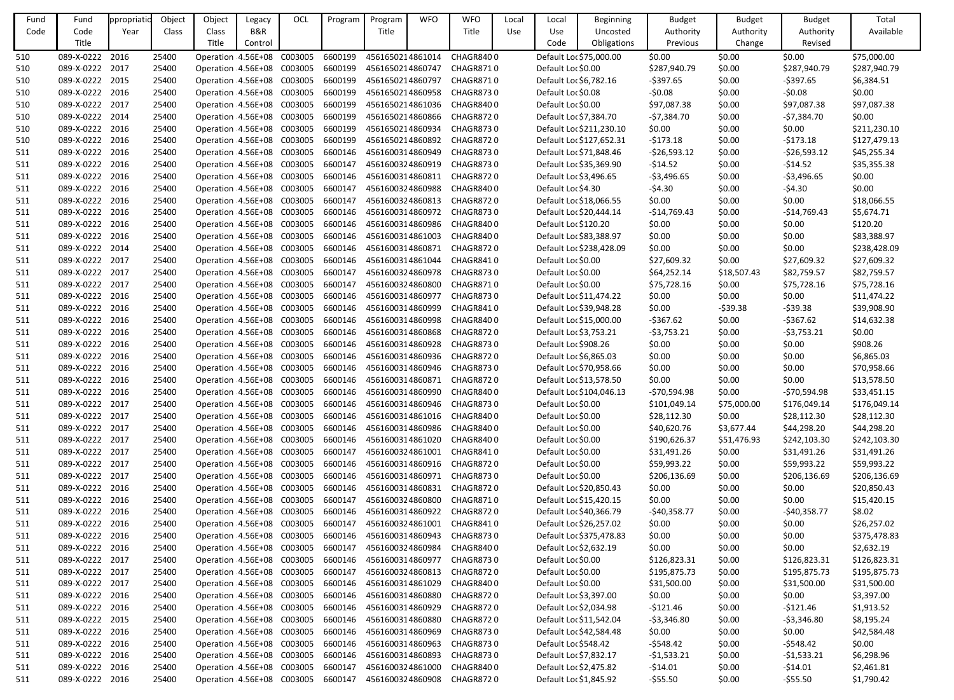| Fund | Fund            | ppropriatio | Object | Object                     | Legacy                     | OCL                        | Program | Program          | <b>WFO</b> | <b>WFO</b>       | Local      | Local                  | <b>Beginning</b>         | <b>Budget</b> | <b>Budget</b> | <b>Budget</b> | Total        |
|------|-----------------|-------------|--------|----------------------------|----------------------------|----------------------------|---------|------------------|------------|------------------|------------|------------------------|--------------------------|---------------|---------------|---------------|--------------|
| Code | Code            | Year        | Class  | Class                      | B&R                        |                            |         | Title            |            | Title            | <b>Use</b> | Use                    | Uncosted                 | Authority     | Authority     | Authority     | Available    |
|      | Title           |             |        | Title                      | Control                    |                            |         |                  |            |                  |            | Code                   | Obligations              | Previous      | Change        | Revised       |              |
| 510  | 089-X-0222      | 2016        | 25400  | Operation 4.56E+08         |                            | C003005                    | 6600199 | 4561650214861014 |            | CHAGR8400        |            |                        | Default Loc \$75,000.00  | \$0.00        | \$0.00        | \$0.00        | \$75,000.00  |
| 510  | 089-X-0222      | 2017        | 25400  | Operation 4.56E+08         |                            | C003005                    | 6600199 | 4561650214860747 |            | <b>CHAGR8710</b> |            | Default Loc \$0.00     |                          | \$287,940.79  | \$0.00        | \$287,940.79  | \$287,940.79 |
| 510  | 089-X-0222      | 2015        | 25400  | Operation 4.56E+08         |                            | C003005                    | 6600199 | 4561650214860797 |            | <b>CHAGR8710</b> |            | Default Loc \$6,782.16 |                          | $-5397.65$    | \$0.00        | $-5397.65$    | \$6,384.51   |
| 510  | 089-X-0222      | 2016        | 25400  | Operation 4.56E+08         |                            | C003005                    | 6600199 | 4561650214860958 |            | CHAGR8730        |            | Default Loc \$0.08     |                          | $-50.08$      | \$0.00        | $-50.08$      | \$0.00       |
| 510  | 089-X-0222      | 2017        | 25400  | Operation 4.56E+08         |                            | C003005                    | 6600199 | 4561650214861036 |            | CHAGR8400        |            | Default Loc \$0.00     |                          | \$97,087.38   | \$0.00        | \$97,087.38   | \$97,087.38  |
| 510  | 089-X-0222      | 2014        | 25400  | Operation 4.56E+08         |                            | C003005                    | 6600199 | 4561650214860866 |            | <b>CHAGR8720</b> |            | Default Loc \$7,384.70 |                          | $-57,384.70$  | \$0.00        | $-57,384.70$  | \$0.00       |
| 510  | 089-X-0222      | 2016        | 25400  | Operation 4.56E+08         |                            | C003005                    | 6600199 | 4561650214860934 |            | CHAGR8730        |            |                        | Default Loc \$211,230.10 | \$0.00        | \$0.00        | \$0.00        | \$211,230.10 |
| 510  | 089-X-0222      | 2016        | 25400  | Operation 4.56E+08         |                            | C003005                    | 6600199 | 4561650214860892 |            | <b>CHAGR8720</b> |            |                        | Default Loc \$127,652.31 | $-5173.18$    | \$0.00        | $-5173.18$    | \$127,479.13 |
| 511  | 089-X-0222      | 2016        | 25400  | Operation 4.56E+08         |                            | C003005                    | 6600146 | 4561600314860949 |            | CHAGR8730        |            |                        | Default Loc \$71,848.46  | $-526,593.12$ | \$0.00        | $-526,593.12$ | \$45,255.34  |
| 511  | 089-X-0222      | 2016        | 25400  | Operation 4.56E+08         |                            | C003005                    | 6600147 | 4561600324860919 |            | <b>CHAGR8730</b> |            |                        | Default Loc \$35,369.90  | $-514.52$     | \$0.00        | $-514.52$     | \$35,355.38  |
| 511  | 089-X-0222      | 2016        | 25400  | Operation 4.56E+08         |                            | C003005                    | 6600146 | 4561600314860811 |            | <b>CHAGR8720</b> |            | Default Loc \$3,496.65 |                          | $-53,496.65$  | \$0.00        | $-53,496.65$  | \$0.00       |
| 511  | 089-X-0222      | 2016        | 25400  | Operation 4.56E+08         |                            | C003005                    | 6600147 | 4561600324860988 |            | CHAGR8400        |            | Default Loc \$4.30     |                          | $-54.30$      | \$0.00        | $-54.30$      | \$0.00       |
| 511  | 089-X-0222      | 2016        | 25400  | Operation 4.56E+08         |                            | C003005                    | 6600147 | 4561600324860813 |            | <b>CHAGR8720</b> |            |                        | Default Loc \$18,066.55  | \$0.00        | \$0.00        | \$0.00        | \$18,066.55  |
| 511  | 089-X-0222 2016 |             | 25400  | Operation 4.56E+08         |                            | C003005                    | 6600146 | 4561600314860972 |            | CHAGR8730        |            |                        | Default Loc \$20,444.14  | $-$14,769.43$ | \$0.00        | $-$14,769.43$ | \$5,674.71   |
| 511  | 089-X-0222      | 2016        | 25400  | Operation 4.56E+08         |                            | C003005                    | 6600146 | 4561600314860986 |            | CHAGR8400        |            | Default Loc \$120.20   |                          | \$0.00        | \$0.00        | \$0.00        | \$120.20     |
| 511  | 089-X-0222      | 2016        | 25400  | Operation 4.56E+08         |                            | C003005                    | 6600146 | 4561600314861003 |            | CHAGR8400        |            |                        | Default Loc \$83,388.97  | \$0.00        | \$0.00        | \$0.00        | \$83,388.97  |
| 511  | 089-X-0222      | 2014        | 25400  | Operation 4.56E+08         |                            | C003005                    | 6600146 | 4561600314860871 |            | CHAGR8720        |            |                        | Default Loc \$238,428.09 | \$0.00        | \$0.00        | \$0.00        | \$238,428.09 |
| 511  | 089-X-0222      | 2017        | 25400  | Operation 4.56E+08         |                            | C003005                    | 6600146 | 4561600314861044 |            | CHAGR8410        |            | Default Loc \$0.00     |                          | \$27,609.32   | \$0.00        | \$27,609.32   | \$27,609.32  |
| 511  | 089-X-0222      | 2017        | 25400  | Operation 4.56E+08         |                            | C003005                    | 6600147 | 4561600324860978 |            | <b>CHAGR8730</b> |            | Default Loc \$0.00     |                          | \$64,252.14   | \$18,507.43   | \$82,759.57   | \$82,759.57  |
| 511  | 089-X-0222      | 2017        | 25400  | Operation 4.56E+08         |                            | C003005                    | 6600147 | 4561600324860800 |            | <b>CHAGR8710</b> |            | Default Loc \$0.00     |                          | \$75,728.16   | \$0.00        | \$75,728.16   | \$75,728.16  |
| 511  | 089-X-0222      | 2016        | 25400  | Operation 4.56E+08         |                            | C003005                    | 6600146 | 4561600314860977 |            | CHAGR8730        |            |                        | Default Loc \$11,474.22  | \$0.00        | \$0.00        | \$0.00        | \$11,474.22  |
| 511  | 089-X-0222 2016 |             | 25400  | Operation 4.56E+08         |                            | C003005                    | 6600146 | 4561600314860999 |            | CHAGR8410        |            |                        | Default Loc \$39,948.28  | \$0.00        | $-539.38$     | $-$ \$39.38   | \$39,908.90  |
| 511  | 089-X-0222      | 2016        | 25400  | Operation 4.56E+08         |                            | C003005                    | 6600146 | 4561600314860998 |            | CHAGR8400        |            |                        | Default Loc \$15,000.00  | $-5367.62$    | \$0.00        | $-5367.62$    | \$14,632.38  |
| 511  | 089-X-0222      | 2016        | 25400  | Operation 4.56E+08         |                            | C003005                    | 6600146 | 4561600314860868 |            | <b>CHAGR8720</b> |            | Default Loc \$3,753.21 |                          | $-53,753.21$  | \$0.00        | $-53,753.21$  | \$0.00       |
| 511  | 089-X-0222      | 2016        | 25400  | Operation 4.56E+08         |                            | C003005                    | 6600146 | 4561600314860928 |            | CHAGR8730        |            | Default Loc \$908.26   |                          | \$0.00        | \$0.00        | \$0.00        | \$908.26     |
| 511  | 089-X-0222      | 2016        | 25400  | Operation 4.56E+08         |                            | C003005                    | 6600146 | 4561600314860936 |            | CHAGR8720        |            | Default Loc \$6,865.03 |                          | \$0.00        | \$0.00        | \$0.00        | \$6,865.03   |
| 511  | 089-X-0222      | 2016        | 25400  | Operation 4.56E+08         |                            | C003005                    | 6600146 | 4561600314860946 |            | CHAGR8730        |            |                        | Default Loc \$70,958.66  | \$0.00        | \$0.00        | \$0.00        | \$70,958.66  |
| 511  | 089-X-0222      | 2016        | 25400  | Operation 4.56E+08 C003005 |                            |                            | 6600146 | 4561600314860871 |            | CHAGR8720        |            |                        | Default Loc \$13,578.50  | \$0.00        | \$0.00        | \$0.00        | \$13,578.50  |
| 511  | 089-X-0222 2016 |             | 25400  |                            | Operation 4.56E+08 C003005 |                            | 6600146 | 4561600314860990 |            | CHAGR8400        |            |                        | Default Loc \$104,046.13 | $-570,594.98$ | \$0.00        | $-570,594.98$ | \$33,451.15  |
| 511  | 089-X-0222 2017 |             | 25400  | Operation 4.56E+08         |                            | C003005                    | 6600146 | 4561600314860946 |            | CHAGR8730        |            | Default Loc \$0.00     |                          | \$101,049.14  | \$75,000.00   | \$176,049.14  | \$176,049.14 |
| 511  | 089-X-0222 2017 |             | 25400  | Operation 4.56E+08         |                            | C003005                    | 6600146 | 4561600314861016 |            | CHAGR8400        |            | Default Loc \$0.00     |                          | \$28,112.30   | \$0.00        | \$28,112.30   | \$28,112.30  |
| 511  | 089-X-0222 2017 |             | 25400  | Operation 4.56E+08         |                            | C003005                    | 6600146 | 4561600314860986 |            | CHAGR8400        |            | Default Loc \$0.00     |                          | \$40,620.76   | \$3,677.44    | \$44,298.20   | \$44,298.20  |
| 511  | 089-X-0222      | 2017        | 25400  | Operation 4.56E+08         |                            | C003005                    | 6600146 | 4561600314861020 |            | CHAGR8400        |            | Default Loc \$0.00     |                          | \$190,626.37  | \$51,476.93   | \$242,103.30  | \$242,103.30 |
| 511  | 089-X-0222 2017 |             | 25400  | Operation 4.56E+08         |                            | C003005                    | 6600147 | 4561600324861001 |            | CHAGR8410        |            | Default Loc \$0.00     |                          | \$31,491.26   | \$0.00        | \$31,491.26   | \$31,491.26  |
| 511  | 089-X-0222 2017 |             | 25400  | Operation 4.56E+08         |                            | C003005                    | 6600146 | 4561600314860916 |            | CHAGR8720        |            | Default Loc \$0.00     |                          | \$59,993.22   | \$0.00        | \$59,993.22   | \$59,993.22  |
| 511  | 089-X-0222      | 2017        | 25400  | Operation 4.56E+08         |                            | C003005                    | 6600146 | 4561600314860971 |            | CHAGR8730        |            | Default Loc \$0.00     |                          | \$206,136.69  | \$0.00        | \$206,136.69  | \$206,136.69 |
| 511  | 089-X-0222 2016 |             | 25400  | Operation 4.56E+08         |                            | C003005                    | 6600146 | 4561600314860831 |            | <b>CHAGR8720</b> |            |                        | Default Loc \$20,850.43  | \$0.00        | \$0.00        | \$0.00        | \$20,850.43  |
| 511  | 089-X-0222 2016 |             | 25400  | Operation 4.56E+08         |                            | C003005                    | 6600147 | 4561600324860800 |            | CHAGR8710        |            |                        | Default Loc \$15,420.15  | \$0.00        | \$0.00        | \$0.00        | \$15,420.15  |
| 511  | 089-X-0222 2016 |             | 25400  | Operation 4.56E+08         |                            | C003005                    | 6600146 | 4561600314860922 |            | CHAGR8720        |            |                        | Default Loc \$40,366.79  | $-$40,358.77$ | \$0.00        | $-$40,358.77$ | \$8.02       |
| 511  | 089-X-0222 2016 |             | 25400  | Operation 4.56E+08         |                            | C003005                    | 6600147 | 4561600324861001 |            | CHAGR8410        |            |                        | Default Loc \$26,257.02  | \$0.00        | \$0.00        | \$0.00        | \$26,257.02  |
| 511  | 089-X-0222 2016 |             | 25400  | Operation 4.56E+08         |                            | C003005                    | 6600146 | 4561600314860943 |            | CHAGR8730        |            |                        | Default Loc \$375,478.83 | \$0.00        | \$0.00        | \$0.00        | \$375,478.83 |
| 511  | 089-X-0222 2016 |             | 25400  | Operation 4.56E+08         |                            | C003005                    | 6600147 | 4561600324860984 |            | CHAGR8400        |            | Default Loc \$2,632.19 |                          | \$0.00        | \$0.00        | \$0.00        | \$2,632.19   |
| 511  | 089-X-0222 2017 |             | 25400  |                            |                            | Operation 4.56E+08 C003005 | 6600146 | 4561600314860977 |            | CHAGR8730        |            | Default Loc \$0.00     |                          | \$126,823.31  | \$0.00        | \$126,823.31  | \$126,823.31 |
| 511  | 089-X-0222      | 2017        | 25400  | Operation 4.56E+08         |                            | C003005                    | 6600147 | 4561600324860813 |            | CHAGR8720        |            | Default Loc \$0.00     |                          | \$195,875.73  | \$0.00        | \$195,875.73  | \$195,875.73 |
| 511  | 089-X-0222 2017 |             | 25400  | Operation 4.56E+08         |                            | C003005                    | 6600146 | 4561600314861029 |            | CHAGR8400        |            | Default Loc \$0.00     |                          | \$31,500.00   | \$0.00        | \$31,500.00   | \$31,500.00  |
| 511  | 089-X-0222 2016 |             | 25400  | Operation 4.56E+08         |                            | C003005                    | 6600146 | 4561600314860880 |            | CHAGR8720        |            | Default Loc \$3,397.00 |                          | \$0.00        | \$0.00        | \$0.00        | \$3,397.00   |
| 511  | 089-X-0222 2016 |             | 25400  | Operation 4.56E+08         |                            | C003005                    | 6600146 | 4561600314860929 |            | CHAGR8720        |            | Default Loc \$2,034.98 |                          | $-$121.46$    | \$0.00        | $-5121.46$    | \$1,913.52   |
| 511  | 089-X-0222 2015 |             | 25400  | Operation 4.56E+08         |                            | C003005                    | 6600146 | 4561600314860880 |            | CHAGR8720        |            |                        | Default Loc \$11,542.04  | $-53,346.80$  | \$0.00        | $-53,346.80$  | \$8,195.24   |
| 511  | 089-X-0222      | 2016        | 25400  | Operation 4.56E+08         |                            | C003005                    | 6600146 | 4561600314860969 |            | CHAGR8730        |            |                        | Default Loc \$42,584.48  | \$0.00        | \$0.00        | \$0.00        | \$42,584.48  |
| 511  | 089-X-0222 2016 |             | 25400  | Operation 4.56E+08         |                            | C003005                    | 6600146 | 4561600314860963 |            | CHAGR8730        |            | Default Loc \$548.42   |                          | $-$ \$548.42  | \$0.00        | $-5548.42$    | \$0.00       |
| 511  | 089-X-0222 2016 |             | 25400  | Operation 4.56E+08         |                            | C003005                    | 6600146 | 4561600314860893 |            | CHAGR8730        |            | Default Loc \$7,832.17 |                          | $-51,533.21$  | \$0.00        | $-51,533.21$  | \$6,298.96   |
| 511  | 089-X-0222      | 2016        | 25400  | Operation 4.56E+08         |                            | C003005                    | 6600147 | 4561600324861000 |            | CHAGR8400        |            | Default Loc \$2,475.82 |                          | $-514.01$     | \$0.00        | $-514.01$     | \$2,461.81   |
| 511  | 089-X-0222 2016 |             | 25400  |                            |                            | Operation 4.56E+08 C003005 | 6600147 | 4561600324860908 |            | CHAGR8720        |            | Default Loc \$1,845.92 |                          | $-555.50$     | \$0.00        | $-$ \$55.50   | \$1,790.42   |

| et   | <b>Budget</b> | Total        |
|------|---------------|--------------|
| rity | Authority     | Available    |
| ge   | Revised       |              |
|      | \$0.00        | \$75,000.00  |
|      | \$287,940.79  | \$287,940.79 |
|      | $-5397.65$    | \$6,384.51   |
|      | $-50.08$      | \$0.00       |
|      | \$97,087.38   | \$97,087.38  |
|      | $-57,384.70$  | \$0.00       |
|      | \$0.00        | \$211,230.10 |
|      | $-5173.18$    | \$127,479.13 |
|      | $-526,593.12$ | \$45,255.34  |
|      | $-514.52$     | \$35,355.38  |
|      | $-53,496.65$  | \$0.00       |
|      | $-54.30$      | \$0.00       |
|      | \$0.00        | \$18,066.55  |
|      | $-$14,769.43$ | \$5,674.71   |
|      | \$0.00        | \$120.20     |
|      | \$0.00        | \$83,388.97  |
|      | \$0.00        | \$238,428.09 |
|      | \$27,609.32   | \$27,609.32  |
| 3    | \$82,759.57   | \$82,759.57  |
|      | \$75,728.16   | \$75,728.16  |
|      | \$0.00        | \$11,474.22  |
|      | $-539.38$     | \$39,908.90  |
|      | $-5367.62$    | \$14,632.38  |
|      | $-53,753.21$  | \$0.00       |
|      | \$0.00        | \$908.26     |
|      | \$0.00        | \$6,865.03   |
|      | \$0.00        | \$70,958.66  |
|      | \$0.00        | \$13,578.50  |
|      | $-570,594.98$ | \$33,451.15  |
| 0    | \$176,049.14  | \$176,049.14 |
|      | \$28,112.30   | \$28,112.30  |
|      | \$44,298.20   | \$44,298.20  |
| 3    | \$242,103.30  | \$242,103.30 |
|      | \$31,491.26   | \$31,491.26  |
|      | \$59,993.22   | \$59,993.22  |
|      | \$206,136.69  | \$206,136.69 |
|      | \$0.00        | \$20,850.43  |
|      | \$0.00        | \$15,420.15  |
|      | $-$40,358.77$ | \$8.02       |
|      | \$0.00        | \$26,257.02  |
|      | \$0.00        | \$375,478.83 |
|      | \$0.00        | \$2,632.19   |
|      | \$126,823.31  | \$126,823.31 |
|      | \$195,875.73  | \$195,875.73 |
|      | \$31,500.00   | \$31,500.00  |
|      | \$0.00        | \$3,397.00   |
|      | $-$121.46$    | \$1,913.52   |
|      | $-53,346.80$  | \$8,195.24   |
|      | \$0.00        | \$42,584.48  |
|      | $-5548.42$    | \$0.00       |
|      | $-51,533.21$  | \$6,298.96   |
|      | $-514.01$     | \$2,461.81   |
|      | -\$55.50      | \$1,790.42   |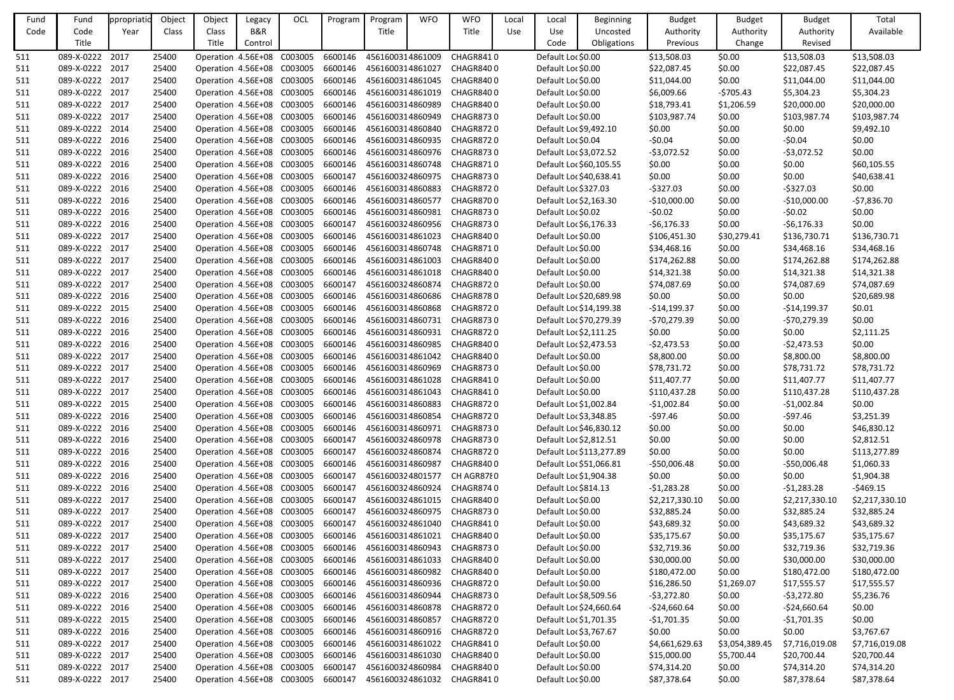| Fund | Fund            | ppropriati | Object | Object                       | Legacy  | OCL | Program | Program          | <b>WFO</b> | <b>WFO</b>                 | Local | Local                  | <b>Beginning</b>         | <b>Budget</b>  | <b>Budget</b>  | <b>Budget</b>  | Total          |
|------|-----------------|------------|--------|------------------------------|---------|-----|---------|------------------|------------|----------------------------|-------|------------------------|--------------------------|----------------|----------------|----------------|----------------|
| Code | Code            | Year       | Class  | Class                        | B&R     |     |         | Title            |            | Title                      | Use   | Use                    | Uncosted                 | Authority      | Authority      | Authority      | Available      |
|      | Title           |            |        | Title                        | Control |     |         |                  |            |                            |       | Code                   | Obligations              | Previous       | Change         | Revised        |                |
| 511  | 089-X-0222 2017 |            | 25400  | Operation 4.56E+08 C003005   |         |     | 6600146 | 4561600314861009 |            | CHAGR8410                  |       | Default Loc \$0.00     |                          | \$13,508.03    | \$0.00         | \$13,508.03    | \$13,508.03    |
| 511  | 089-X-0222 2017 |            | 25400  | Operation 4.56E+08 C003005   |         |     | 6600146 | 4561600314861027 |            | CHAGR8400                  |       | Default Loc \$0.00     |                          | \$22,087.45    | \$0.00         | \$22,087.45    | \$22,087.45    |
| 511  | 089-X-0222 2017 |            | 25400  | Operation 4.56E+08 C003005   |         |     | 6600146 | 4561600314861045 |            | CHAGR8400                  |       | Default Loc \$0.00     |                          | \$11,044.00    | \$0.00         | \$11,044.00    | \$11,044.00    |
| 511  | 089-X-0222 2017 |            | 25400  | Operation 4.56E+08 C003005   |         |     | 6600146 | 4561600314861019 |            | CHAGR8400                  |       | Default Loc \$0.00     |                          | \$6,009.66     | $-5705.43$     | \$5,304.23     | \$5,304.23     |
| 511  | 089-X-0222 2017 |            | 25400  | Operation 4.56E+08 C003005   |         |     | 6600146 | 4561600314860989 |            | CHAGR8400                  |       | Default Loc \$0.00     |                          | \$18,793.41    | \$1,206.59     | \$20,000.00    | \$20,000.00    |
| 511  | 089-X-0222 2017 |            | 25400  | Operation 4.56E+08 C003005   |         |     | 6600146 | 4561600314860949 |            | CHAGR8730                  |       | Default Loc \$0.00     |                          | \$103,987.74   | \$0.00         | \$103,987.74   | \$103,987.74   |
| 511  | 089-X-0222 2014 |            | 25400  | Operation 4.56E+08 C003005   |         |     | 6600146 | 4561600314860840 |            | CHAGR8720                  |       | Default Loc \$9,492.10 |                          | \$0.00         | \$0.00         | \$0.00         | \$9,492.10     |
| 511  | 089-X-0222 2016 |            | 25400  | Operation : 4.56E+08 C003005 |         |     | 6600146 | 4561600314860935 |            | <b>CHAGR8720</b>           |       | Default Loc \$0.04     |                          | $-50.04$       | \$0.00         | $-50.04$       | \$0.00         |
| 511  | 089-X-0222 2016 |            | 25400  | Operation : 4.56E+08 C003005 |         |     | 6600146 | 4561600314860976 |            | CHAGR8730                  |       | Default Loc \$3,072.52 |                          | $-53,072.52$   | \$0.00         | $-53,072.52$   | \$0.00         |
| 511  | 089-X-0222 2016 |            | 25400  | Operation 4.56E+08 C003005   |         |     | 6600146 | 4561600314860748 |            | <b>CHAGR8710</b>           |       |                        | Default Loc \$60,105.55  | \$0.00         | \$0.00         | \$0.00         | \$60,105.55    |
| 511  | 089-X-0222 2016 |            | 25400  | Operation : 4.56E+08 C003005 |         |     | 6600147 | 4561600324860975 |            | <b>CHAGR8730</b>           |       |                        | Default Loc \$40,638.41  | \$0.00         | \$0.00         | \$0.00         | \$40,638.41    |
| 511  | 089-X-0222 2016 |            | 25400  | Operation 4.56E+08 C003005   |         |     | 6600146 | 4561600314860883 |            | CHAGR8720                  |       | Default Loc \$327.03   |                          | $-5327.03$     | \$0.00         | $-5327.03$     | \$0.00         |
| 511  | 089-X-0222 2016 |            | 25400  | Operation 4.56E+08 C003005   |         |     | 6600146 | 4561600314860577 |            | <b>CHAGR8700</b>           |       | Default Loc \$2,163.30 |                          | $-$10,000.00$  | \$0.00         | $-$10,000.00$  | $-57,836.70$   |
| 511  | 089-X-0222 2016 |            | 25400  | Operation: 4.56E+08 C003005  |         |     | 6600146 | 4561600314860981 |            | CHAGR8730                  |       | Default Loc \$0.02     |                          | $-50.02$       | \$0.00         | $-50.02$       | \$0.00         |
| 511  | 089-X-0222 2016 |            | 25400  | Operation 4.56E+08 C003005   |         |     | 6600147 | 4561600324860956 |            | <b>CHAGR8730</b>           |       | Default Loc \$6,176.33 |                          | -\$6,176.33    | \$0.00         | $-56,176.33$   | \$0.00         |
| 511  | 089-X-0222 2017 |            | 25400  | Operation 4.56E+08 C003005   |         |     | 6600146 | 4561600314861023 |            | CHAGR8400                  |       | Default Loc \$0.00     |                          | \$106,451.30   | \$30,279.41    | \$136,730.71   | \$136,730.71   |
| 511  | 089-X-0222 2017 |            | 25400  | Operation 4.56E+08 C003005   |         |     | 6600146 | 4561600314860748 |            | <b>CHAGR8710</b>           |       | Default Loc \$0.00     |                          | \$34,468.16    | \$0.00         | \$34,468.16    | \$34,468.16    |
| 511  | 089-X-0222 2017 |            | 25400  | Operation 4.56E+08 C003005   |         |     | 6600146 | 4561600314861003 |            | CHAGR8400                  |       | Default Loc \$0.00     |                          | \$174,262.88   | \$0.00         | \$174,262.88   | \$174,262.88   |
| 511  | 089-X-0222 2017 |            | 25400  | Operation 4.56E+08 C003005   |         |     | 6600146 | 4561600314861018 |            | CHAGR8400                  |       | Default Loc \$0.00     |                          | \$14,321.38    | \$0.00         | \$14,321.38    | \$14,321.38    |
| 511  | 089-X-0222 2017 |            | 25400  | Operation : 4.56E+08 C003005 |         |     | 6600147 | 4561600324860874 |            | CHAGR8720                  |       | Default Loc \$0.00     |                          | \$74,087.69    | \$0.00         | \$74,087.69    | \$74,087.69    |
| 511  | 089-X-0222 2016 |            | 25400  | Operation 4.56E+08 C003005   |         |     | 6600146 | 4561600314860686 |            | CHAGR8780                  |       |                        | Default Loc \$20,689.98  | \$0.00         | \$0.00         | \$0.00         | \$20,689.98    |
| 511  | 089-X-0222 2015 |            | 25400  | Operation 4.56E+08 C003005   |         |     | 6600146 | 4561600314860868 |            | CHAGR8720                  |       |                        | Default Loc \$14,199.38  | $-514, 199.37$ | \$0.00         | $-514,199.37$  | \$0.01         |
| 511  | 089-X-0222 2016 |            | 25400  | Operation 4.56E+08 C003005   |         |     | 6600146 | 4561600314860731 |            | CHAGR8730                  |       |                        | Default Loc \$70,279.39  | -\$70,279.39   | \$0.00         | $-570,279.39$  | \$0.00         |
| 511  | 089-X-0222 2016 |            | 25400  | Operation : 4.56E+08 C003005 |         |     | 6600146 | 4561600314860931 |            | CHAGR8720                  |       | Default Loc \$2,111.25 |                          | \$0.00         | \$0.00         | \$0.00         | \$2,111.25     |
| 511  | 089-X-0222 2016 |            | 25400  | Operation 4.56E+08 C003005   |         |     | 6600146 | 4561600314860985 |            | CHAGR8400                  |       | Default Loc \$2,473.53 |                          | $-52,473.53$   | \$0.00         | $-52,473.53$   | \$0.00         |
| 511  | 089-X-0222 2017 |            | 25400  | Operation 4.56E+08 C003005   |         |     | 6600146 | 4561600314861042 |            | CHAGR8400                  |       | Default Loc \$0.00     |                          | \$8,800.00     | \$0.00         | \$8,800.00     | \$8,800.00     |
| 511  | 089-X-0222 2017 |            | 25400  | Operation : 4.56E+08 C003005 |         |     | 6600146 | 4561600314860969 |            | <b>CHAGR8730</b>           |       | Default Loc \$0.00     |                          | \$78,731.72    | \$0.00         | \$78,731.72    | \$78,731.72    |
| 511  | 089-X-0222 2017 |            | 25400  | Operation 4.56E+08 C003005   |         |     | 6600146 | 4561600314861028 |            | CHAGR8410                  |       | Default Loc \$0.00     |                          | \$11,407.77    | \$0.00         | \$11,407.77    | \$11,407.77    |
| 511  | 089-X-0222 2017 |            | 25400  | Operation 4.56E+08 C003005   |         |     | 6600146 |                  |            | 4561600314861043 CHAGR8410 |       | Default Loc \$0.00     |                          | \$110,437.28   | \$0.00         | \$110,437.28   | \$110,437.28   |
| 511  | 089-X-0222 2015 |            | 25400  | Operation: 4.56E+08 C003005  |         |     | 6600146 | 4561600314860883 |            | CHAGR8720                  |       | Default Loc \$1,002.84 |                          | $-51,002.84$   | \$0.00         | -\$1,002.84    | \$0.00         |
| 511  | 089-X-0222 2016 |            | 25400  | Operation: 4.56E+08 C003005  |         |     | 6600146 | 4561600314860854 |            | CHAGR8720                  |       | Default Loc \$3,348.85 |                          | $-597.46$      | \$0.00         | $-597.46$      | \$3,251.39     |
| 511  | 089-X-0222 2016 |            | 25400  | Operation: 4.56E+08 C003005  |         |     | 6600146 | 4561600314860971 |            | CHAGR8730                  |       |                        | Default Loc \$46,830.12  | \$0.00         | \$0.00         | \$0.00         | \$46,830.12    |
| 511  | 089-X-0222 2016 |            | 25400  | Operation 4.56E+08 C003005   |         |     | 6600147 | 4561600324860978 |            | CHAGR8730                  |       | Default Loc \$2,812.51 |                          | \$0.00         | \$0.00         | \$0.00         | \$2,812.51     |
| 511  | 089-X-0222 2016 |            | 25400  | Operation 4.56E+08 C003005   |         |     | 6600147 | 4561600324860874 |            | CHAGR8720                  |       |                        | Default Loc \$113,277.89 | \$0.00         | \$0.00         | \$0.00         | \$113,277.89   |
| 511  | 089-X-0222 2016 |            | 25400  | Operation: 4.56E+08 C003005  |         |     | 6600146 | 4561600314860987 |            | CHAGR8400                  |       |                        | Default Loc \$51,066.81  | $-$50,006.48$  | \$0.00         | $-$50,006.48$  | \$1,060.33     |
| 511  | 089-X-0222 2016 |            | 25400  | Operation: 4.56E+08 C003005  |         |     | 6600147 | 4561600324801577 |            | CH AGR8780                 |       | Default Loc \$1,904.38 |                          | \$0.00         | \$0.00         | \$0.00         | \$1,904.38     |
| 511  | 089-X-0222 2016 |            | 25400  | Operation 4.56E+08 C003005   |         |     | 6600147 | 4561600324860924 |            | CHAGR8740                  |       | Default Loc \$814.13   |                          | $-51,283.28$   | \$0.00         | $-51,283.28$   | $-5469.15$     |
| 511  | 089-X-0222 2017 |            | 25400  | Operation 4.56E+08 C003005   |         |     | 6600147 | 4561600324861015 |            | CHAGR8400                  |       | Default Loc \$0.00     |                          | \$2,217,330.10 | \$0.00         | \$2,217,330.10 | \$2,217,330.10 |
| 511  | 089-X-0222 2017 |            | 25400  | Operation 4.56E+08 C003005   |         |     | 6600147 | 4561600324860975 |            | CHAGR8730                  |       | Default Loc \$0.00     |                          | \$32,885.24    | \$0.00         | \$32,885.24    | \$32,885.24    |
| 511  | 089-X-0222 2017 |            | 25400  | Operation 4.56E+08 C003005   |         |     | 6600147 | 4561600324861040 |            | CHAGR8410                  |       | Default Loc \$0.00     |                          | \$43,689.32    | \$0.00         | \$43,689.32    | \$43,689.32    |
| 511  | 089-X-0222 2017 |            | 25400  | Operation 4.56E+08 C003005   |         |     | 6600146 | 4561600314861021 |            | CHAGR8400                  |       | Default Loc \$0.00     |                          | \$35,175.67    | \$0.00         | \$35,175.67    | \$35,175.67    |
| 511  | 089-X-0222 2017 |            | 25400  | Operation 4.56E+08 C003005   |         |     | 6600146 | 4561600314860943 |            | CHAGR8730                  |       | Default Loc \$0.00     |                          | \$32,719.36    | \$0.00         | \$32,719.36    | \$32,719.36    |
| 511  | 089-X-0222 2017 |            | 25400  | Operation: 4.56E+08 C003005  |         |     | 6600146 | 4561600314861033 |            | CHAGR8400                  |       | Default Loc \$0.00     |                          | \$30,000.00    | \$0.00         | \$30,000.00    | \$30,000.00    |
| 511  | 089-X-0222 2017 |            | 25400  | Operation 4.56E+08 C003005   |         |     | 6600146 | 4561600314860982 |            | CHAGR8400                  |       | Default Loc \$0.00     |                          | \$180,472.00   | \$0.00         | \$180,472.00   | \$180,472.00   |
| 511  | 089-X-0222 2017 |            | 25400  | Operation 4.56E+08 C003005   |         |     | 6600146 | 4561600314860936 |            | CHAGR8720                  |       | Default Loc \$0.00     |                          | \$16,286.50    | \$1,269.07     | \$17,555.57    | \$17,555.57    |
| 511  | 089-X-0222 2016 |            | 25400  | Operation 4.56E+08 C003005   |         |     | 6600146 | 4561600314860944 |            | CHAGR8730                  |       |                        | Default Loc \$8,509.56   | $-53,272.80$   | \$0.00         | $-53,272.80$   | \$5,236.76     |
| 511  | 089-X-0222 2016 |            | 25400  | Operation 4.56E+08 C003005   |         |     | 6600146 | 4561600314860878 |            | CHAGR8720                  |       |                        | Default Loc \$24,660.64  | $-524,660.64$  | \$0.00         | -\$24,660.64   | \$0.00         |
| 511  | 089-X-0222 2015 |            | 25400  | Operation 4.56E+08 C003005   |         |     | 6600146 | 4561600314860857 |            | CHAGR8720                  |       | Default Loc \$1,701.35 |                          | -\$1,701.35    | \$0.00         | $-51,701.35$   | \$0.00         |
| 511  | 089-X-0222 2016 |            | 25400  | Operation 4.56E+08 C003005   |         |     | 6600146 | 4561600314860916 |            | CHAGR8720                  |       | Default Loc \$3,767.67 |                          | \$0.00         | \$0.00         | \$0.00         | \$3,767.67     |
| 511  | 089-X-0222 2017 |            | 25400  | Operation 4.56E+08 C003005   |         |     | 6600146 | 4561600314861022 |            | CHAGR8410                  |       | Default Loc \$0.00     |                          | \$4,661,629.63 | \$3,054,389.45 | \$7,716,019.08 | \$7,716,019.08 |
| 511  | 089-X-0222 2017 |            | 25400  | Operation: 4.56E+08 C003005  |         |     | 6600146 | 4561600314861030 |            | CHAGR8400                  |       | Default Loc \$0.00     |                          | \$15,000.00    | \$5,700.44     | \$20,700.44    | \$20,700.44    |
| 511  | 089-X-0222 2017 |            | 25400  | Operation 4.56E+08 C003005   |         |     | 6600147 | 4561600324860984 |            | CHAGR8400                  |       | Default Loc \$0.00     |                          | \$74,314.20    | \$0.00         | \$74,314.20    | \$74,314.20    |
| 511  | 089-X-0222 2017 |            | 25400  | Operation: 4.56E+08 C003005  |         |     | 6600147 | 4561600324861032 |            | CHAGR8410                  |       | Default Loc \$0.00     |                          | \$87,378.64    | \$0.00         | \$87,378.64    | \$87,378.64    |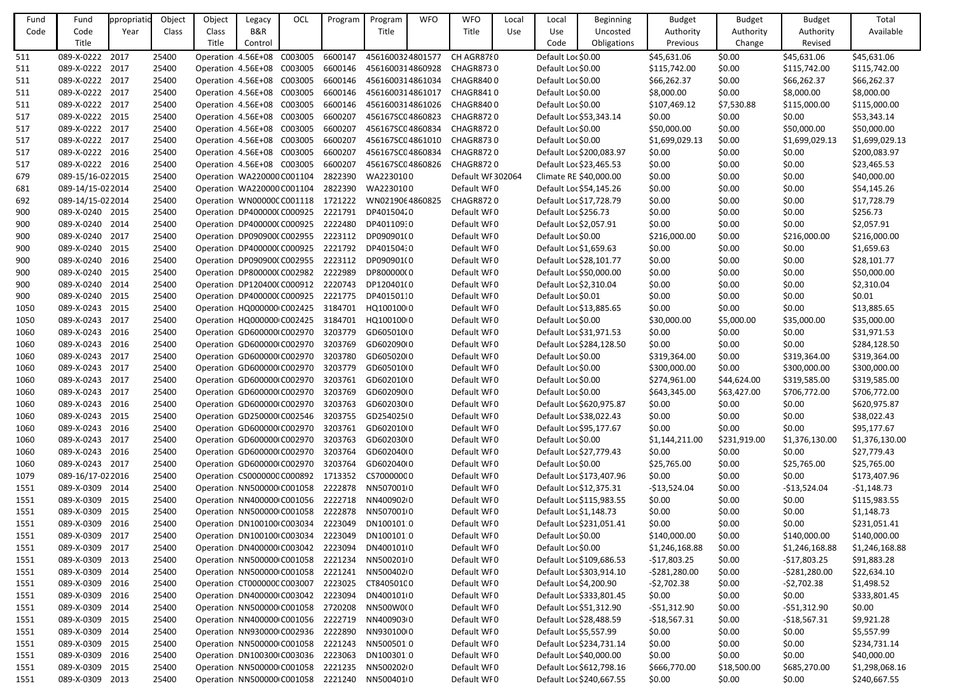| Fund | Fund              | ppropriati | Object | Object | Legacy                        | OCL | Program | Program          | <b>WFO</b> | <b>WFO</b>        | Local | Local                  | Beginning                | <b>Budget</b>  | <b>Budget</b> | <b>Budget</b>  | Total          |
|------|-------------------|------------|--------|--------|-------------------------------|-----|---------|------------------|------------|-------------------|-------|------------------------|--------------------------|----------------|---------------|----------------|----------------|
| Code | Code              | Year       | Class  | Class  | B&R                           |     |         | Title            |            | Title             | Use   | Use                    | Uncosted                 | Authority      | Authority     | Authority      | Available      |
|      | Title             |            |        | Title  | Control                       |     |         |                  |            |                   |       | Code                   | Obligations              | Previous       | Change        | Revised        |                |
| 511  | 089-X-0222 2017   |            | 25400  |        | Operation 4.56E+08 C003005    |     | 6600147 | 4561600324801577 |            | CH AGR8780        |       | Default Loc \$0.00     |                          | \$45,631.06    | \$0.00        | \$45,631.06    | \$45,631.06    |
| 511  | 089-X-0222 2017   |            | 25400  |        | Operation : 4.56E+08 C003005  |     | 6600146 | 4561600314860928 |            | CHAGR8730         |       | Default Loc \$0.00     |                          | \$115,742.00   | \$0.00        | \$115,742.00   | \$115,742.00   |
| 511  | 089-X-0222 2017   |            | 25400  |        | Operation 4.56E+08 C003005    |     | 6600146 | 4561600314861034 |            | CHAGR8400         |       | Default Loc \$0.00     |                          | \$66,262.37    | \$0.00        | \$66,262.37    | \$66,262.37    |
| 511  | 089-X-0222 2017   |            | 25400  |        | Operation 4.56E+08 C003005    |     | 6600146 | 4561600314861017 |            | CHAGR8410         |       | Default Loc \$0.00     |                          | \$8,000.00     | \$0.00        | \$8,000.00     | \$8,000.00     |
| 511  | 089-X-0222 2017   |            | 25400  |        | Operation : 4.56E+08 C003005  |     | 6600146 | 4561600314861026 |            | CHAGR8400         |       | Default Loc \$0.00     |                          | \$107,469.12   | \$7,530.88    | \$115,000.00   | \$115,000.00   |
| 517  | 089-X-0222 2015   |            | 25400  |        | Operation : 4.56E+08 C003005  |     | 6600207 | 456167SC04860823 |            | CHAGR8720         |       |                        | Default Loc \$53,343.14  | \$0.00         | \$0.00        | \$0.00         | \$53,343.14    |
| 517  | 089-X-0222 2017   |            | 25400  |        | Operation : 4.56E+08 C003005  |     | 6600207 | 456167SC04860834 |            | CHAGR8720         |       | Default Loc \$0.00     |                          | \$50,000.00    | \$0.00        | \$50,000.00    | \$50,000.00    |
| 517  | 089-X-0222 2017   |            | 25400  |        | Operation 4.56E+08 C003005    |     | 6600207 | 456167SC04861010 |            | CHAGR8730         |       | Default Loc \$0.00     |                          | \$1,699,029.13 | \$0.00        | \$1,699,029.13 | \$1,699,029.13 |
| 517  | 089-X-0222 2016   |            | 25400  |        | Operation 4.56E+08 C003005    |     | 6600207 | 456167SC04860834 |            | CHAGR8720         |       |                        | Default Loc \$200,083.97 | \$0.00         | \$0.00        | \$0.00         | \$200,083.97   |
| 517  | 089-X-0222 2016   |            | 25400  |        | Operation : 4.56E+08 C003005  |     | 6600207 | 456167SC04860826 |            | CHAGR8720         |       |                        | Default Loc \$23,465.53  | \$0.00         | \$0.00        | \$0.00         | \$23,465.53    |
| 679  | 089-15/16-02 2015 |            | 25400  |        | Operation WA220000 C001104    |     | 2822390 | WA2230100        |            | Default WF 302064 |       |                        | Climate RE \$40,000.00   | \$0.00         | \$0.00        | \$0.00         | \$40,000.00    |
| 681  | 089-14/15-02 2014 |            | 25400  |        | Operation WA220000 C001104    |     | 2822390 | WA2230100        |            | Default WF0       |       |                        | Default Loc \$54,145.26  | \$0.00         | \$0.00        | \$0.00         | \$54,145.26    |
| 692  | 089-14/15-02 2014 |            | 25400  |        | Operation WN00000CC001118     |     | 1721222 | WN0219064860825  |            | CHAGR8720         |       |                        | Default Loc \$17,728.79  | \$0.00         | \$0.00        | \$0.00         | \$17,728.79    |
| 900  | 089-X-0240 2015   |            | 25400  |        | Operation DP400000(C000925    |     | 2221791 | DP40150420       |            | Default WF0       |       | Default Loc \$256.73   |                          | \$0.00         | \$0.00        | \$0.00         | \$256.73       |
| 900  | 089-X-0240 2014   |            | 25400  |        | Operation DP400000(C000925    |     | 2222480 | DP401109:0       |            | Default WF0       |       | Default Loc \$2,057.91 |                          | \$0.00         | \$0.00        | \$0.00         | \$2,057.91     |
| 900  | 089-X-0240 2017   |            | 25400  |        | Operation DP090900(C002955    |     | 2223112 | DP090901(0       |            | Default WF0       |       | Default Loc \$0.00     |                          | \$216,000.00   | \$0.00        | \$216,000.00   | \$216,000.00   |
| 900  | 089-X-0240 2015   |            | 25400  |        | Operation DP400000(C000925    |     | 2221792 | DP401504:0       |            | Default WF0       |       | Default Loc \$1,659.63 |                          | \$0.00         | \$0.00        | \$0.00         | \$1,659.63     |
| 900  | 089-X-0240 2016   |            | 25400  |        | Operation DP0909000 C002955   |     | 2223112 | DP090901(0       |            | Default WF0       |       |                        | Default Loc \$28,101.77  | \$0.00         | \$0.00        | \$0.00         | \$28,101.77    |
| 900  | 089-X-0240        | 2015       | 25400  |        | Operation DP800000(C002982    |     | 2222989 | DP800000(0       |            | Default WF0       |       |                        | Default Loc \$50,000.00  | \$0.00         | \$0.00        | \$0.00         | \$50,000.00    |
| 900  | 089-X-0240 2014   |            | 25400  |        | Operation DP120400(C000912    |     | 2220743 | DP120401(0       |            | Default WF0       |       | Default Loc \$2,310.04 |                          | \$0.00         | \$0.00        | \$0.00         | \$2,310.04     |
| 900  | 089-X-0240 2015   |            | 25400  |        | Operation DP400000(C000925    |     | 2221775 | DP40150110       |            | Default WF0       |       | Default Loc \$0.01     |                          | \$0.00         | \$0.00        | \$0.00         | \$0.01         |
| 1050 | 089-X-0243        | 2015       | 25400  |        | Operation HQ000000 C002425    |     | 3184701 | HQ100100 0       |            | Default WF0       |       |                        | Default Loc \$13,885.65  | \$0.00         | \$0.00        | \$0.00         | \$13,885.65    |
| 1050 | 089-X-0243 2017   |            | 25400  |        | Operation HQ000000 C002425    |     | 3184701 | HQ100100 0       |            | Default WF0       |       | Default Loc \$0.00     |                          | \$30,000.00    | \$5,000.00    | \$35,000.00    | \$35,000.00    |
| 1060 | 089-X-0243        | 2016       | 25400  |        | Operation GD600000 C002970    |     | 3203779 | GD605010(0       |            | Default WF0       |       |                        | Default Loc \$31,971.53  | \$0.00         | \$0.00        | \$0.00         | \$31,971.53    |
| 1060 | 089-X-0243        | 2016       | 25400  |        | Operation GD600000 C002970    |     | 3203769 | GD602090(0       |            | Default WF0       |       |                        | Default Loc \$284,128.50 | \$0.00         | \$0.00        | \$0.00         | \$284,128.50   |
| 1060 | 089-X-0243 2017   |            | 25400  |        | Operation GD600000 C002970    |     | 3203780 | GD605020(0       |            | Default WF0       |       | Default Loc \$0.00     |                          | \$319,364.00   | \$0.00        | \$319,364.00   | \$319,364.00   |
| 1060 | 089-X-0243        | 2017       | 25400  |        | Operation GD600000 C002970    |     | 3203779 | GD605010(0       |            | Default WF0       |       | Default Loc \$0.00     |                          | \$300,000.00   | \$0.00        | \$300,000.00   | \$300,000.00   |
| 1060 | 089-X-0243 2017   |            | 25400  |        | Operation GD600000 C002970    |     | 3203761 | GD602010(0       |            | Default WF0       |       | Default Loc \$0.00     |                          | \$274,961.00   | \$44,624.00   | \$319,585.00   | \$319,585.00   |
| 1060 | 089-X-0243 2017   |            | 25400  |        | Operation GD600000 C002970    |     | 3203769 | GD602090(0       |            | Default WF0       |       | Default Loc \$0.00     |                          | \$643,345.00   | \$63,427.00   | \$706,772.00   | \$706,772.00   |
| 1060 | 089-X-0243 2016   |            | 25400  |        | Operation GD600000 C002970    |     | 3203763 | GD602030(0       |            | Default WF0       |       |                        | Default Loc \$620,975.87 | \$0.00         | \$0.00        | \$0.00         | \$620,975.87   |
| 1060 | 089-X-0243 2015   |            | 25400  |        | Operation GD250000 C002546    |     | 3203755 | GD254025(0       |            | Default WF0       |       |                        | Default Loc \$38,022.43  | \$0.00         | \$0.00        | \$0.00         | \$38,022.43    |
| 1060 | 089-X-0243 2016   |            | 25400  |        | Operation GD600000 C002970    |     | 3203761 | GD602010(0       |            | Default WF0       |       |                        | Default Loc \$95,177.67  | \$0.00         | \$0.00        | \$0.00         | \$95,177.67    |
| 1060 | 089-X-0243 2017   |            | 25400  |        | Operation GD600000 C002970    |     | 3203763 | GD602030(0       |            | Default WF0       |       | Default Loc \$0.00     |                          | \$1,144,211.00 | \$231,919.00  | \$1,376,130.00 | \$1,376,130.00 |
| 1060 | 089-X-0243 2016   |            | 25400  |        | Operation GD600000 C002970    |     | 3203764 | GD602040(0       |            | Default WF0       |       |                        | Default Loc \$27,779.43  | \$0.00         | \$0.00        | \$0.00         | \$27,779.43    |
| 1060 | 089-X-0243 2017   |            | 25400  |        | Operation GD600000 C002970    |     | 3203764 | GD602040(0       |            | Default WF0       |       | Default Loc \$0.00     |                          | \$25,765.00    | \$0.00        | \$25,765.00    | \$25,765.00    |
| 1079 | 089-16/17-02 2016 |            | 25400  |        | Operation : CS0000000 C000892 |     | 1713352 | CS70000000       |            | Default WF0       |       |                        | Default Loc \$173,407.96 | \$0.00         | \$0.00        | \$0.00         | \$173,407.96   |
| 1551 | 089-X-0309 2014   |            | 25400  |        | Operation : NN500000 C001058  |     | 2222878 | NN5070010        |            | Default WF0       |       |                        | Default Loc \$12,375.31  | $-$13,524.04$  | \$0.00        | $-$13,524.04$  | $-$1,148.73$   |
| 1551 | 089-X-0309 2015   |            | 25400  |        | Operation NN400000 C001056    |     | 2222718 | NN400902(0       |            | Default WF0       |       |                        | Default Loc \$115,983.55 | \$0.00         | \$0.00        | \$0.00         | \$115,983.55   |
| 1551 | 089-X-0309 2015   |            | 25400  |        | Operation NN500000 C001058    |     | 2222878 | NN5070010        |            | Default WF0       |       | Default Loc \$1,148.73 |                          | \$0.00         | \$0.00        | \$0.00         | \$1,148.73     |
| 1551 | 089-X-0309 2016   |            | 25400  |        | Operation DN100100 C003034    |     | 2223049 | DN100101.0       |            | Default WF0       |       |                        | Default Loc \$231,051.41 | \$0.00         | \$0.00        | \$0.00         | \$231,051.41   |
| 1551 | 089-X-0309 2017   |            | 25400  |        | Operation DN100100 C003034    |     | 2223049 | DN100101:0       |            | Default WFO       |       | Default Loc \$0.00     |                          | \$140,000.00   | \$0.00        | \$140,000.00   | \$140,000.00   |
| 1551 | 089-X-0309 2017   |            | 25400  |        | Operation DN400000 C003042    |     | 2223094 | DN400101(0       |            | Default WF0       |       | Default Loc \$0.00     |                          | \$1,246,168.88 | \$0.00        | \$1,246,168.88 | \$1,246,168.88 |
| 1551 | 089-X-0309 2013   |            | 25400  |        | Operation NN500000 C001058    |     | 2221234 | NN5002010        |            | Default WF0       |       |                        | Default Loc \$109,686.53 | $-$17,803.25$  | \$0.00        | $-$17,803.25$  | \$91,883.28    |
| 1551 | 089-X-0309 2014   |            | 25400  |        | Operation NN500000 C001058    |     | 2221241 | NN50040200       |            | Default WF0       |       |                        | Default Loc \$303,914.10 | $-5281,280.00$ | \$0.00        | $-5281,280.00$ | \$22,634.10    |
| 1551 | 089-X-0309 2016   |            | 25400  |        | Operation CT0000000 C003007   |     | 2223025 | CT84050100       |            | Default WF0       |       | Default Loc \$4,200.90 |                          | $-52,702.38$   | \$0.00        | $-52,702.38$   | \$1,498.52     |
| 1551 | 089-X-0309 2016   |            | 25400  |        | Operation DN400000 C003042    |     | 2223094 | DN400101(0       |            | Default WFO       |       |                        | Default Loc \$333,801.45 | \$0.00         | \$0.00        | \$0.00         | \$333,801.45   |
| 1551 | 089-X-0309 2014   |            | 25400  |        | Operation NN500000 C001058    |     | 2720208 | NN500W0(0        |            | Default WF0       |       |                        | Default Loc \$51,312.90  | $-551,312.90$  | \$0.00        | $-551,312.90$  | \$0.00         |
| 1551 | 089-X-0309 2015   |            | 25400  |        | Operation NN400000 C001056    |     | 2222719 | NN400903(0       |            | Default WF0       |       |                        | Default Loc \$28,488.59  | $-$18,567.31$  | \$0.00        | $-$18,567.31$  | \$9,921.28     |
| 1551 | 089-X-0309 2014   |            | 25400  |        | Operation NN930000 C002936    |     | 2222890 | NN93010000       |            | Default WF0       |       | Default Loc \$5,557.99 |                          | \$0.00         | \$0.00        | \$0.00         | \$5,557.99     |
| 1551 | 089-X-0309 2015   |            | 25400  |        | Operation NN500000 C001058    |     | 2221243 | NN5005010        |            | Default WF0       |       |                        | Default Loc \$234,731.14 | \$0.00         | \$0.00        | \$0.00         | \$234,731.14   |
| 1551 | 089-X-0309 2016   |            | 25400  |        | Operation DN100300 C003036    |     | 2223063 | DN100301:0       |            | Default WF0       |       |                        | Default Loc \$40,000.00  | \$0.00         | \$0.00        | \$0.00         | \$40,000.00    |
| 1551 | 089-X-0309 2015   |            | 25400  |        | Operation NN500000 C001058    |     | 2221235 | NN50020200       |            | Default WF0       |       |                        | Default Loc \$612,798.16 | \$666,770.00   | \$18,500.00   | \$685,270.00   | \$1,298,068.16 |
| 1551 | 089-X-0309 2013   |            | 25400  |        | Operation : NN500000 C001058  |     | 2221240 | NN5004010        |            | Default WF0       |       |                        | Default Loc \$240,667.55 | \$0.00         | \$0.00        | \$0.00         | \$240,667.55   |
|      |                   |            |        |        |                               |     |         |                  |            |                   |       |                        |                          |                |               |                |                |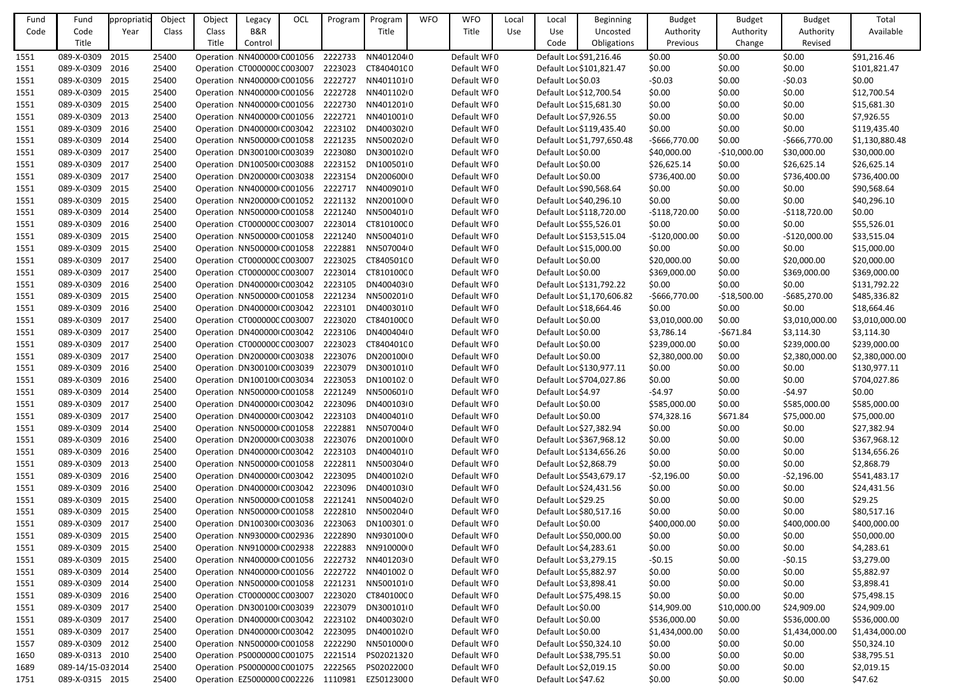| Fund | Fund              | ppropriati | Object | Object | Legacy                              | OCL | Program | Program                                       | <b>WFO</b> | <b>WFO</b>  | Local | Local                   | <b>Beginning</b>           | <b>Budget</b>  | <b>Budget</b> | <b>Budget</b>  | Total          |
|------|-------------------|------------|--------|--------|-------------------------------------|-----|---------|-----------------------------------------------|------------|-------------|-------|-------------------------|----------------------------|----------------|---------------|----------------|----------------|
| Code | Code              | Year       | Class  | Class  | B&R                                 |     |         | Title                                         |            | Title       | Use   | Use                     | Uncosted                   | Authority      | Authority     | Authority      | Available      |
|      | Title             |            |        | Title  | Control                             |     |         |                                               |            |             |       | Code                    | Obligations                | Previous       | Change        | Revised        |                |
| 1551 | 089-X-0309        | 2015       | 25400  |        | Operation NN400000 C001056          |     | 2222733 | NN4012040                                     |            | Default WF0 |       |                         | Default Loc \$91,216.46    | \$0.00         | \$0.00        | \$0.00         | \$91,216.46    |
| 1551 | 089-X-0309        | 2016       | 25400  |        | Operation CT0000000 C003007         |     | 2223023 | CT84040100                                    |            | Default WF0 |       |                         | Default Loc \$101,821.47   | \$0.00         | \$0.00        | \$0.00         | \$101,821.47   |
| 1551 | 089-X-0309 2015   |            | 25400  |        | Operation NN400000 C001056          |     | 2222727 | NN4011010                                     |            | Default WF0 |       | Default Loc \$0.03      |                            | $-50.03$       | \$0.00        | $-50.03$       | \$0.00         |
| 1551 | 089-X-0309        | 2015       | 25400  |        | Operation NN400000 C001056          |     | 2222728 | NN40110200                                    |            | Default WF0 |       | Default Loc \$12,700.54 |                            | \$0.00         | \$0.00        | \$0.00         | \$12,700.54    |
| 1551 | 089-X-0309        | 2015       | 25400  |        | Operation NN400000 C001056          |     | 2222730 | NN4012010                                     |            | Default WF0 |       | Default Loc \$15,681.30 |                            | \$0.00         | \$0.00        | \$0.00         | \$15,681.30    |
| 1551 | 089-X-0309 2013   |            | 25400  |        | Operation NN400000 C001056          |     | 2222721 | NN4010010                                     |            | Default WF0 |       | Default Loc \$7,926.55  |                            | \$0.00         | \$0.00        | \$0.00         | \$7,926.55     |
| 1551 | 089-X-0309        | 2016       | 25400  |        | Operation DN400000 C003042          |     | 2223102 | DN400302(0                                    |            | Default WF0 |       |                         | Default Loc \$119,435.40   | \$0.00         | \$0.00        | \$0.00         | \$119,435.40   |
| 1551 | 089-X-0309        | 2014       | 25400  |        | Operation NN500000 C001058          |     | 2221235 | NN50020200                                    |            | Default WF0 |       |                         | Default Loc \$1,797,650.48 | -\$666,770.00  | \$0.00        | $-5666,770.00$ | \$1,130,880.48 |
| 1551 | 089-X-0309 2017   |            | 25400  |        | Operation DN300100 C003039          |     | 2223080 | DN300102(0                                    |            | Default WF0 |       | Default Loc \$0.00      |                            | \$40,000.00    | $-$10,000.00$ | \$30,000.00    | \$30,000.00    |
| 1551 | 089-X-0309        | 2017       | 25400  |        | Operation DN100500 C003088          |     | 2223152 | DN1005010                                     |            | Default WF0 |       | Default Loc \$0.00      |                            | \$26,625.14    | \$0.00        | \$26,625.14    | \$26,625.14    |
| 1551 | 089-X-0309 2017   |            | 25400  |        | Operation DN200000 C003038          |     | 2223154 | DN20060000                                    |            | Default WF0 |       | Default Loc \$0.00      |                            | \$736,400.00   | \$0.00        | \$736,400.00   | \$736,400.00   |
| 1551 | 089-X-0309        | 2015       | 25400  |        | Operation NN400000 C001056          |     | 2222717 | NN4009010                                     |            | Default WF0 |       | Default Loc \$90,568.64 |                            | \$0.00         | \$0.00        | \$0.00         | \$90,568.64    |
| 1551 | 089-X-0309        | 2015       | 25400  |        | Operation NN200000 C001052          |     | 2221132 | NN20010000                                    |            | Default WF0 |       | Default Loc \$40,296.10 |                            | \$0.00         | \$0.00        | \$0.00         | \$40,296.10    |
| 1551 | 089-X-0309 2014   |            | 25400  |        | Operation : NN500000 C001058        |     | 2221240 | NN5004010                                     |            | Default WF0 |       |                         | Default Loc \$118,720.00   | $-$118,720.00$ | \$0.00        | $-$118,720.00$ | \$0.00         |
| 1551 | 089-X-0309        | 2016       | 25400  |        | Operation CT0000000 C003007         |     | 2223014 | CT810100C0                                    |            | Default WF0 |       | Default Loc \$55,526.01 |                            | \$0.00         | \$0.00        | \$0.00         | \$55,526.01    |
| 1551 | 089-X-0309        | 2015       | 25400  |        | Operation NN500000 C001058          |     | 2221240 | NN5004010                                     |            | Default WF0 |       |                         | Default Loc \$153,515.04   | $-$120,000.00$ | \$0.00        | $-$120,000.00$ | \$33,515.04    |
| 1551 | 089-X-0309        | 2015       | 25400  |        | Operation NN500000 C001058          |     | 2222881 | NN5070040                                     |            | Default WF0 |       | Default Loc \$15,000.00 |                            | \$0.00         | \$0.00        | \$0.00         | \$15,000.00    |
| 1551 | 089-X-0309        | 2017       | 25400  |        | Operation CT0000000 C003007         |     | 2223025 | CT84050100                                    |            | Default WF0 |       | Default Loc \$0.00      |                            | \$20,000.00    | \$0.00        | \$20,000.00    | \$20,000.00    |
| 1551 | 089-X-0309 2017   |            | 25400  |        | Operation CT0000000 C003007         |     | 2223014 | CT810100C0                                    |            | Default WF0 |       | Default Loc \$0.00      |                            | \$369,000.00   | \$0.00        | \$369,000.00   | \$369,000.00   |
| 1551 | 089-X-0309        | 2016       | 25400  |        | Operation DN400000 C003042          |     | 2223105 | DN400403(0                                    |            | Default WF0 |       |                         | Default Loc \$131,792.22   | \$0.00         | \$0.00        | \$0.00         | \$131,792.22   |
| 1551 | 089-X-0309        | 2015       | 25400  |        | Operation NN500000 C001058          |     | 2221234 | NN5002010                                     |            | Default WF0 |       |                         | Default Loc \$1,170,606.82 | -\$666,770.00  | $-$18,500.00$ | $-5685,270.00$ | \$485,336.82   |
| 1551 | 089-X-0309        | 2016       | 25400  |        | Operation DN400000 C003042          |     | 2223101 | DN4003010                                     |            | Default WF0 |       | Default Loc \$18,664.46 |                            | \$0.00         | \$0.00        | \$0.00         | \$18,664.46    |
| 1551 | 089-X-0309        | 2017       | 25400  |        | Operation CT0000000 C003007         |     | 2223020 | CT840100C0                                    |            | Default WF0 |       | Default Loc \$0.00      |                            | \$3,010,000.00 | \$0.00        | \$3,010,000.00 | \$3,010,000.00 |
| 1551 | 089-X-0309        | 2017       | 25400  |        | Operation DN400000 C003042          |     | 2223106 | DN400404(0                                    |            | Default WF0 |       | Default Loc \$0.00      |                            | \$3,786.14     | $-5671.84$    | \$3,114.30     | \$3,114.30     |
| 1551 | 089-X-0309        | 2017       | 25400  |        | Operation CT0000000 C003007         |     | 2223023 | CT84040100                                    |            | Default WF0 |       | Default Loc \$0.00      |                            | \$239,000.00   | \$0.00        | \$239,000.00   | \$239,000.00   |
| 1551 | 089-X-0309        | 2017       | 25400  |        | Operation DN200000 C003038          |     | 2223076 | DN200100(0                                    |            | Default WF0 |       | Default Loc \$0.00      |                            | \$2,380,000.00 | \$0.00        | \$2,380,000.00 | \$2,380,000.00 |
| 1551 | 089-X-0309        | 2016       | 25400  |        | Operation DN300100 C003039          |     | 2223079 | DN300101(0                                    |            | Default WF0 |       |                         | Default Loc \$130,977.11   | \$0.00         | \$0.00        | \$0.00         | \$130,977.11   |
| 1551 | 089-X-0309 2016   |            | 25400  |        | Operation DN100100 C003034          |     | 2223053 | DN100102 0                                    |            | Default WF0 |       |                         | Default Loc \$704,027.86   | \$0.00         | \$0.00        | \$0.00         | \$704,027.86   |
| 1551 | 089-X-0309 2014   |            | 25400  |        |                                     |     |         | Operation NN500000 C001058 2221249 NN500601 0 |            | Default WF0 |       | Default Loc \$4.97      |                            | $-54.97$       | \$0.00        | $-54.97$       | \$0.00         |
| 1551 | 089-X-0309 2017   |            | 25400  |        | Operation DN400000 C003042          |     | 2223096 | DN400103(0                                    |            | Default WF0 |       | Default Loc \$0.00      |                            | \$585,000.00   | \$0.00        | \$585,000.00   | \$585,000.00   |
| 1551 | 089-X-0309 2017   |            | 25400  |        | Operation DN400000 C003042          |     | 2223103 | DN400401(0                                    |            | Default WF0 |       | Default Loc \$0.00      |                            | \$74,328.16    | \$671.84      | \$75,000.00    | \$75,000.00    |
| 1551 | 089-X-0309 2014   |            | 25400  |        | Operation : NN500000 C001058        |     | 2222881 | NN5070040                                     |            | Default WF0 |       | Default Loc \$27,382.94 |                            | \$0.00         | \$0.00        | \$0.00         | \$27,382.94    |
| 1551 | 089-X-0309        | 2016       | 25400  |        | Operation DN200000 C003038          |     | 2223076 | DN200100(0                                    |            | Default WF0 |       |                         | Default Loc \$367,968.12   | \$0.00         | \$0.00        | \$0.00         | \$367,968.12   |
| 1551 | 089-X-0309 2016   |            | 25400  |        | Operation DN400000 C003042          |     | 2223103 | DN4004010                                     |            | Default WF0 |       |                         | Default Loc \$134,656.26   | \$0.00         | \$0.00        | \$0.00         | \$134,656.26   |
| 1551 | 089-X-0309 2013   |            | 25400  |        | Operation : NN500000 C001058        |     | 2222811 | NN5003040                                     |            | Default WF0 |       | Default Loc \$2,868.79  |                            | \$0.00         | \$0.00        | \$0.00         | \$2,868.79     |
| 1551 | 089-X-0309        | 2016       | 25400  |        | Operation DN400000 C003042          |     | 2223095 | DN400102I0                                    |            | Default WF0 |       |                         | Default Loc \$543,679.17   | $-52,196.00$   | \$0.00        | $-52,196.00$   | \$541,483.17   |
| 1551 | 089-X-0309 2016   |            | 25400  |        | Operation DN400000 C003042          |     | 2223096 | DN400103(0                                    |            | Default WF0 |       | Default Loc \$24,431.56 |                            | \$0.00         | \$0.00        | \$0.00         | \$24,431.56    |
| 1551 | 089-X-0309 2015   |            | 25400  |        | Operation : NN500000 C001058        |     | 2221241 | NN50040200                                    |            | Default WF0 |       | Default Loc \$29.25     |                            | \$0.00         | \$0.00        | \$0.00         | \$29.25        |
| 1551 | 089-X-0309 2015   |            | 25400  |        | Operation : NN500000 C001058        |     | 2222810 | NN5002040                                     |            | Default WF0 |       | Default Loc \$80,517.16 |                            | \$0.00         | \$0.00        | \$0.00         | \$80,517.16    |
| 1551 | 089-X-0309 2017   |            | 25400  |        | Operation DN100300 C003036          |     | 2223063 | DN100301.0                                    |            | Default WF0 |       | Default Loc \$0.00      |                            | \$400,000.00   | \$0.00        | \$400,000.00   | \$400,000.00   |
| 1551 | 089-X-0309        | 2015       | 25400  |        | Operation NN930000 C002936          |     | 2222890 | NN93010000                                    |            | Default WF0 |       | Default Loc \$50,000.00 |                            | \$0.00         | \$0.00        | \$0.00         | \$50,000.00    |
| 1551 | 089-X-0309 2015   |            | 25400  |        | Operation NN910000 C002938          |     | 2222883 | NN91000000                                    |            | Default WF0 |       | Default Loc \$4,283.61  |                            | \$0.00         | \$0.00        | \$0.00         | \$4,283.61     |
| 1551 | 089-X-0309 2015   |            | 25400  |        | Operation NN400000 C001056          |     | 2222732 | NN40120300                                    |            | Default WF0 |       | Default Loc \$3,279.15  |                            | $-50.15$       | \$0.00        | $-50.15$       | \$3,279.00     |
| 1551 | 089-X-0309        | 2014       | 25400  |        | Operation NN400000 C001056          |     | 2222722 | NN401002 0                                    |            | Default WF0 |       | Default Loc \$5,882.97  |                            | \$0.00         | \$0.00        | \$0.00         | \$5,882.97     |
| 1551 | 089-X-0309 2014   |            | 25400  |        | Operation NN500000 C001058          |     | 2221231 | NN5001010                                     |            | Default WF0 |       | Default Loc \$3,898.41  |                            | \$0.00         | \$0.00        | \$0.00         | \$3,898.41     |
| 1551 | 089-X-0309        | 2016       | 25400  |        | Operation CT0000000 C003007         |     | 2223020 | CT840100C0                                    |            | Default WF0 |       | Default Loc \$75,498.15 |                            | \$0.00         | \$0.00        | \$0.00         | \$75,498.15    |
| 1551 | 089-X-0309 2017   |            | 25400  |        | Operation DN300100 C003039          |     | 2223079 | DN300101(0                                    |            | Default WF0 |       | Default Loc \$0.00      |                            | \$14,909.00    | \$10,000.00   | \$24,909.00    | \$24,909.00    |
| 1551 | 089-X-0309 2017   |            | 25400  |        | Operation DN400000 C003042          |     | 2223102 | DN40030210                                    |            | Default WF0 |       | Default Loc \$0.00      |                            | \$536,000.00   | \$0.00        | \$536,000.00   | \$536,000.00   |
| 1551 | 089-X-0309 2017   |            | 25400  |        | Operation DN400000 C003042          |     | 2223095 | DN400102I0                                    |            | Default WF0 |       | Default Loc \$0.00      |                            | \$1,434,000.00 | \$0.00        | \$1,434,000.00 | \$1,434,000.00 |
| 1557 | 089-X-0309 2012   |            | 25400  |        | Operation NN500000 C001058          |     | 2222290 | NN50100000                                    |            | Default WF0 |       | Default Loc \$50,324.10 |                            | \$0.00         | \$0.00        | \$0.00         | \$50,324.10    |
| 1650 | 089-X-0313 2010   |            | 25400  |        | Operation / PS0000000 C001075       |     | 2221514 | PS02021320                                    |            | Default WF0 |       | Default Loc \$38,795.51 |                            | \$0.00         | \$0.00        | \$0.00         | \$38,795.51    |
| 1689 | 089-14/15-03 2014 |            | 25400  |        | Operation / PS0000000 C001075       |     | 2222565 | PS02022000                                    |            | Default WF0 |       | Default Loc \$2,019.15  |                            | \$0.00         | \$0.00        | \$0.00         | \$2,019.15     |
| 1751 | 089-X-0315 2015   |            | 25400  |        | Operation EZ5000000 C002226 1110981 |     |         | EZ50123000                                    |            | Default WF0 |       | Default Loc \$47.62     |                            | \$0.00         | \$0.00        | \$0.00         | \$47.62        |
|      |                   |            |        |        |                                     |     |         |                                               |            |             |       |                         |                            |                |               |                |                |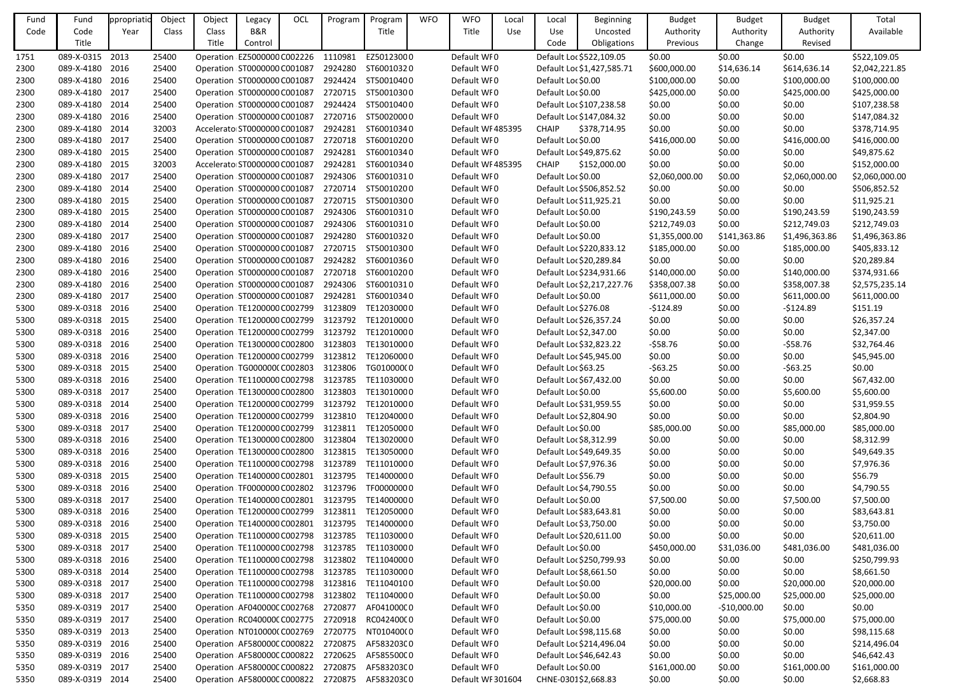| Fund | Fund            | ppropriatio | Object | Object | Legacy                              | OCL | Program | Program                                         | <b>WFO</b> | <b>WFO</b>        | Local      | Local                   | <b>Beginning</b>           | <b>Budget</b>  | <b>Budget</b> | <b>Budget</b>  | Total          |
|------|-----------------|-------------|--------|--------|-------------------------------------|-----|---------|-------------------------------------------------|------------|-------------------|------------|-------------------------|----------------------------|----------------|---------------|----------------|----------------|
| Code | Code            | Year        | Class  | Class  | <b>B&amp;R</b>                      |     |         | Title                                           |            | Title             | <b>Use</b> | <b>Use</b>              | Uncosted                   | Authority      | Authority     | Authority      | Available      |
|      | Title           |             |        | Title  | Control                             |     |         |                                                 |            |                   |            | Code                    | Obligations                | Previous       | Change        | Revised        |                |
| 1751 | 089-X-0315      | 2013        | 25400  |        | Operation EZ5000000 C002226         |     | 1110981 | EZ50123000                                      |            | Default WF0       |            |                         | Default Loc \$522,109.05   | \$0.00         | \$0.00        | \$0.00         | \$522,109.05   |
| 2300 | 089-X-4180      | 2016        | 25400  |        | Operation : ST0000000 C001087       |     | 2924280 | ST60010320                                      |            | Default WF0       |            |                         | Default Loc \$1,427,585.71 | \$600,000.00   | \$14,636.14   | \$614,636.14   | \$2,042,221.85 |
| 2300 | 089-X-4180 2016 |             | 25400  |        | Operation ST0000000 C001087         |     | 2924424 | ST50010400                                      |            | Default WF0       |            | Default Loc \$0.00      |                            | \$100,000.00   | \$0.00        | \$100,000.00   | \$100,000.00   |
| 2300 | 089-X-4180 2017 |             | 25400  |        | Operation : ST0000000 C001087       |     |         | 2720715 ST50010300                              |            | Default WF0       |            | Default Loc \$0.00      |                            | \$425,000.00   | \$0.00        | \$425,000.00   | \$425,000.00   |
| 2300 | 089-X-4180      | 2014        | 25400  |        | Operation ST0000000 C001087         |     |         | 2924424 ST50010400                              |            | Default WF0       |            |                         | Default Loc \$107,238.58   | \$0.00         | \$0.00        | \$0.00         | \$107,238.58   |
| 2300 | 089-X-4180 2016 |             | 25400  |        | Operation ST0000000 C001087         |     |         | 2720716 ST50020000                              |            | Default WF0       |            |                         | Default Loc \$147,084.32   | \$0.00         | \$0.00        | \$0.00         | \$147,084.32   |
| 2300 | 089-X-4180      | 2014        | 32003  |        | Accelerato ST0000000 C001087        |     | 2924281 | ST60010340                                      |            | Default WF485395  |            | <b>CHAIP</b>            | \$378,714.95               | \$0.00         | \$0.00        | \$0.00         | \$378,714.95   |
| 2300 | 089-X-4180 2017 |             | 25400  |        | Operation ST0000000 C001087         |     | 2720718 | ST60010200                                      |            | Default WF0       |            | Default Loc \$0.00      |                            | \$416,000.00   | \$0.00        | \$416,000.00   | \$416,000.00   |
| 2300 | 089-X-4180 2015 |             | 25400  |        | Operation : ST0000000 C001087       |     |         | 2924281 ST60010340                              |            | Default WF0       |            | Default Loc \$49,875.62 |                            | \$0.00         | \$0.00        | \$0.00         | \$49,875.62    |
| 2300 | 089-X-4180      | 2015        | 32003  |        | Accelerato ST0000000 C001087        |     |         | 2924281 ST60010340                              |            | Default WF485395  |            | <b>CHAIP</b>            | \$152,000.00               | \$0.00         | \$0.00        | \$0.00         | \$152,000.00   |
| 2300 | 089-X-4180 2017 |             | 25400  |        | Operation ST0000000 C001087         |     |         | 2924306 ST60010310                              |            | Default WF0       |            | Default Loc \$0.00      |                            | \$2,060,000.00 | \$0.00        | \$2,060,000.00 | \$2,060,000.00 |
| 2300 | 089-X-4180 2014 |             | 25400  |        | Operation : ST0000000 C001087       |     | 2720714 | ST50010200                                      |            | Default WF0       |            |                         | Default Loc \$506,852.52   | \$0.00         | \$0.00        | \$0.00         | \$506,852.52   |
| 2300 | 089-X-4180      | 2015        | 25400  |        | Operation : ST0000000 C001087       |     | 2720715 | ST50010300                                      |            | Default WF0       |            | Default Loc \$11,925.21 |                            | \$0.00         | \$0.00        | \$0.00         | \$11,925.21    |
| 2300 | 089-X-4180 2015 |             | 25400  |        | Operation ST0000000 C001087         |     |         | 2924306 ST60010310                              |            | Default WF0       |            | Default Loc \$0.00      |                            | \$190,243.59   | \$0.00        | \$190,243.59   | \$190,243.59   |
| 2300 | 089-X-4180      | 2014        | 25400  |        | Operation ST0000000 C001087         |     | 2924306 | ST60010310                                      |            | Default WF0       |            | Default Loc \$0.00      |                            | \$212,749.03   | \$0.00        | \$212,749.03   | \$212,749.03   |
| 2300 | 089-X-4180 2017 |             | 25400  |        | Operation : ST0000000 C001087       |     | 2924280 | ST60010320                                      |            | Default WF0       |            | Default Loc \$0.00      |                            | \$1,355,000.00 | \$141,363.86  | \$1,496,363.86 | \$1,496,363.86 |
| 2300 | 089-X-4180 2016 |             | 25400  |        | Operation : ST0000000 C001087       |     |         | 2720715 ST50010300                              |            | Default WF0       |            |                         | Default Loc \$220,833.12   | \$185,000.00   | \$0.00        | \$185,000.00   | \$405,833.12   |
| 2300 | 089-X-4180      | 2016        | 25400  |        | Operation ST0000000 C001087         |     |         | 2924282 ST60010360                              |            | Default WF0       |            | Default Loc \$20,289.84 |                            | \$0.00         | \$0.00        | \$0.00         | \$20,289.84    |
| 2300 | 089-X-4180 2016 |             | 25400  |        | Operation ST0000000 C001087         |     | 2720718 | ST60010200                                      |            | Default WF0       |            |                         | Default Loc \$234,931.66   | \$140,000.00   | \$0.00        | \$140,000.00   | \$374,931.66   |
| 2300 | 089-X-4180      | 2016        | 25400  |        | Operation ST0000000 C001087         |     | 2924306 | ST60010310                                      |            | Default WF0       |            |                         | Default Loc \$2,217,227.76 | \$358,007.38   | \$0.00        | \$358,007.38   | \$2,575,235.14 |
| 2300 | 089-X-4180      | 2017        | 25400  |        | Operation ST0000000 C001087         |     | 2924281 | ST60010340                                      |            | Default WF0       |            | Default Loc \$0.00      |                            | \$611,000.00   | \$0.00        | \$611,000.00   | \$611,000.00   |
| 5300 | 089-X-0318 2016 |             | 25400  |        | Operation TE1200000 C002799         |     | 3123809 | TE12030000                                      |            | Default WF0       |            | Default Loc \$276.08    |                            | $-5124.89$     | \$0.00        | -\$124.89      | \$151.19       |
| 5300 | 089-X-0318 2015 |             | 25400  |        | Operation TE1200000 C002799         |     | 3123792 | TE12010000                                      |            | Default WF0       |            | Default Loc \$26,357.24 |                            | \$0.00         | \$0.00        | \$0.00         | \$26,357.24    |
| 5300 | 089-X-0318 2016 |             | 25400  |        | Operation TE1200000 C002799         |     | 3123792 | TE12010000                                      |            | Default WF0       |            | Default Loc \$2,347.00  |                            | \$0.00         | \$0.00        | \$0.00         | \$2,347.00     |
| 5300 | 089-X-0318 2016 |             | 25400  |        | Operation TE1300000 C002800         |     | 3123803 | TE13010000                                      |            | Default WF0       |            | Default Loc \$32,823.22 |                            | $-558.76$      | \$0.00        | $-558.76$      | \$32,764.46    |
| 5300 | 089-X-0318      | 2016        | 25400  |        | Operation TE1200000 C002799         |     | 3123812 | TE12060000                                      |            | Default WF0       |            | Default Loc \$45,945.00 |                            | \$0.00         | \$0.00        | \$0.00         | \$45,945.00    |
| 5300 | 089-X-0318 2015 |             | 25400  |        | Operation TG0000000 C002803         |     | 3123806 | TG010000(0                                      |            | Default WF0       |            | Default Loc \$63.25     |                            | $-563.25$      | \$0.00        | -\$63.25       | \$0.00         |
| 5300 | 089-X-0318 2016 |             | 25400  |        | Operation TE1100000 C002798         |     | 3123785 | TE11030000                                      |            | Default WF0       |            | Default Loc \$67,432.00 |                            | \$0.00         | \$0.00        | \$0.00         | \$67,432.00    |
| 5300 | 089-X-0318 2017 |             | 25400  |        |                                     |     |         | Operation TE1300000 C002800 3123803 TE1301000 0 |            | Default WF0       |            | Default Loc \$0.00      |                            | \$5,600.00     | \$0.00        | \$5,600.00     | \$5,600.00     |
| 5300 | 089-X-0318 2014 |             | 25400  |        | Operation TE1200000 C002799 3123792 |     |         | TE12010000                                      |            | Default WF0       |            | Default Loc \$31,959.55 |                            | \$0.00         | \$0.00        | \$0.00         | \$31,959.55    |
| 5300 | 089-X-0318 2016 |             | 25400  |        | Operation TE1200000 C002799         |     | 3123810 | TE12040000                                      |            | Default WF0       |            | Default Loc \$2,804.90  |                            | \$0.00         | \$0.00        | \$0.00         | \$2,804.90     |
| 5300 | 089-X-0318 2017 |             | 25400  |        | Operation TE1200000 C002799         |     | 3123811 | TE12050000                                      |            | Default WFO       |            | Default Loc \$0.00      |                            | \$85,000.00    | \$0.00        | \$85,000.00    | \$85,000.00    |
| 5300 | 089-X-0318 2016 |             | 25400  |        | Operation TE1300000 C002800         |     | 3123804 | TE13020000                                      |            | Default WF0       |            | Default Loc \$8,312.99  |                            | \$0.00         | \$0.00        | \$0.00         | \$8,312.99     |
| 5300 | 089-X-0318 2016 |             | 25400  |        | Operation TE1300000 C002800         |     | 3123815 | TE13050000                                      |            | Default WF0       |            | Default Loc \$49,649.35 |                            | \$0.00         | \$0.00        | \$0.00         | \$49,649.35    |
| 5300 | 089-X-0318 2016 |             | 25400  |        | Operation TE1100000 C002798         |     | 3123789 | TE11010000                                      |            | Default WF0       |            | Default Loc \$7,976.36  |                            | \$0.00         | \$0.00        | \$0.00         | \$7,976.36     |
| 5300 | 089-X-0318 2015 |             | 25400  |        | Operation TE1400000 C002801         |     | 3123795 | TE14000000                                      |            | Default WF0       |            | Default Loc \$56.79     |                            | \$0.00         | \$0.00        | \$0.00         | \$56.79        |
| 5300 | 089-X-0318 2016 |             | 25400  |        | Operation TF0000000 C002802         |     | 3123796 | TF00000000                                      |            | Default WF0       |            | Default Loc \$4,790.55  |                            | \$0.00         | \$0.00        | \$0.00         | \$4,790.55     |
| 5300 | 089-X-0318 2017 |             | 25400  |        | Operation TE1400000 C002801         |     | 3123795 | TE14000000                                      |            | Default WF0       |            | Default Loc \$0.00      |                            | \$7,500.00     | \$0.00        | \$7,500.00     | \$7,500.00     |
| 5300 | 089-X-0318 2016 |             | 25400  |        | Operation TE1200000 C002799         |     | 3123811 | TE12050000                                      |            | Default WF0       |            | Default Loc \$83,643.81 |                            | \$0.00         | \$0.00        | \$0.00         | \$83,643.81    |
| 5300 | 089-X-0318 2016 |             | 25400  |        | Operation TE1400000 C002801         |     | 3123795 | TE14000000                                      |            | Default WFO       |            | Default Loc \$3,750.00  |                            | \$0.00         | \$0.00        | \$0.00         | \$3,750.00     |
| 5300 | 089-X-0318 2015 |             | 25400  |        | Operation TE1100000 C002798         |     | 3123785 | TE11030000                                      |            | Default WF0       |            | Default Loc \$20,611.00 |                            | \$0.00         | \$0.00        | \$0.00         | \$20,611.00    |
| 5300 | 089-X-0318 2017 |             | 25400  |        | Operation TE1100000 C002798 3123785 |     |         | TE11030000                                      |            | Default WFO       |            | Default Loc \$0.00      |                            | \$450,000.00   | \$31,036.00   | \$481,036.00   | \$481,036.00   |
| 5300 | 089-X-0318 2016 |             | 25400  |        | Operation TE1100000 C002798 3123802 |     |         | TE11040000                                      |            | Default WF0       |            |                         | Default Loc \$250,799.93   | \$0.00         | \$0.00        | \$0.00         | \$250,799.93   |
| 5300 | 089-X-0318 2014 |             | 25400  |        | Operation TE1100000 C002798         |     | 3123785 | TE11030000                                      |            | Default WF0       |            | Default Loc \$8,661.50  |                            | \$0.00         | \$0.00        | \$0.00         | \$8,661.50     |
| 5300 | 089-X-0318 2017 |             | 25400  |        | Operation TE1100000 C002798         |     | 3123816 | TE11040100                                      |            | Default WF0       |            | Default Loc \$0.00      |                            | \$20,000.00    | \$0.00        | \$20,000.00    | \$20,000.00    |
| 5300 | 089-X-0318 2017 |             | 25400  |        | Operation TE1100000 C002798         |     | 3123802 | TE11040000                                      |            | Default WF0       |            | Default Loc \$0.00      |                            | \$0.00         | \$25,000.00   | \$25,000.00    | \$25,000.00    |
| 5350 | 089-X-0319 2017 |             | 25400  |        | Operation AF040000CC002768          |     | 2720877 | AF041000C0                                      |            | Default WF0       |            | Default Loc \$0.00      |                            | \$10,000.00    | $-$10,000.00$ | \$0.00         | \$0.00         |
| 5350 | 089-X-0319 2017 |             | 25400  |        | Operation RC040000CC002775          |     | 2720918 | RC04240000                                      |            | Default WF0       |            | Default Loc \$0.00      |                            | \$75,000.00    | \$0.00        | \$75,000.00    | \$75,000.00    |
| 5350 | 089-X-0319 2013 |             | 25400  |        | Operation NT010000(C002769          |     | 2720775 | NT010400(0                                      |            | Default WF0       |            | Default Loc \$98,115.68 |                            | \$0.00         | \$0.00        | \$0.00         | \$98,115.68    |
| 5350 | 089-X-0319 2016 |             | 25400  |        | Operation AF580000C C000822         |     | 2720875 | AF583203C0                                      |            | Default WF0       |            |                         | Default Loc \$214,496.04   | \$0.00         | \$0.00        | \$0.00         | \$214,496.04   |
| 5350 | 089-X-0319 2016 |             | 25400  |        | Operation AF580000CC000822          |     | 2720625 | AF585500C0                                      |            | Default WF0       |            | Default Loc \$46,642.43 |                            | \$0.00         | \$0.00        | \$0.00         | \$46,642.43    |
| 5350 | 089-X-0319 2017 |             | 25400  |        | Operation AF580000CC000822          |     | 2720875 | AF583203C0                                      |            | Default WF0       |            | Default Loc \$0.00      |                            | \$161,000.00   | \$0.00        | \$161,000.00   | \$161,000.00   |
| 5350 | 089-X-0319 2014 |             | 25400  |        |                                     |     |         | Operation AF580000C C000822 2720875 AF583203C 0 |            | Default WF 301604 |            | CHNE-0301\$2,668.83     |                            | \$0.00         | \$0.00        | \$0.00         | \$2,668.83     |
|      |                 |             |        |        |                                     |     |         |                                                 |            |                   |            |                         |                            |                |               |                |                |